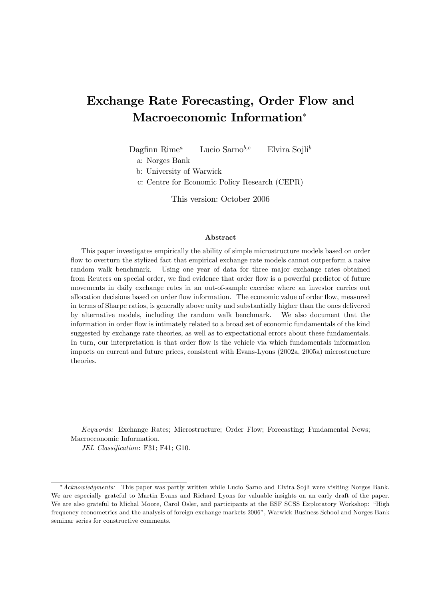# Exchange Rate Forecasting, Order Flow and Macroeconomic Information

Dagfinn Rime<sup>a</sup> Lucio Sarno<sup>b,c</sup> Elvira Sojli<sup>b</sup>

a: Norges Bank

b: University of Warwick

c: Centre for Economic Policy Research (CEPR)

This version: October 2006

#### Abstract

This paper investigates empirically the ability of simple microstructure models based on order flow to overturn the stylized fact that empirical exchange rate models cannot outperform a naive random walk benchmark. Using one year of data for three major exchange rates obtained from Reuters on special order, we find evidence that order flow is a powerful predictor of future movements in daily exchange rates in an out-of-sample exercise where an investor carries out allocation decisions based on order flow information. The economic value of order flow, measured in terms of Sharpe ratios, is generally above unity and substantially higher than the ones delivered by alternative models, including the random walk benchmark. We also document that the information in order flow is intimately related to a broad set of economic fundamentals of the kind suggested by exchange rate theories, as well as to expectational errors about these fundamentals. In turn, our interpretation is that order flow is the vehicle via which fundamentals information impacts on current and future prices, consistent with Evans-Lyons (2002a, 2005a) microstructure theories.

Keywords: Exchange Rates; Microstructure; Order Flow; Forecasting; Fundamental News; Macroeconomic Information.

JEL Classification: F31; F41; G10.

<sup>\*</sup>Acknowledgments: This paper was partly written while Lucio Sarno and Elvira Sojli were visiting Norges Bank. We are especially grateful to Martin Evans and Richard Lyons for valuable insights on an early draft of the paper. We are also grateful to Michal Moore, Carol Osler, and participants at the ESF SCSS Exploratory Workshop: "High frequency econometrics and the analysis of foreign exchange markets 2006î, Warwick Business School and Norges Bank seminar series for constructive comments.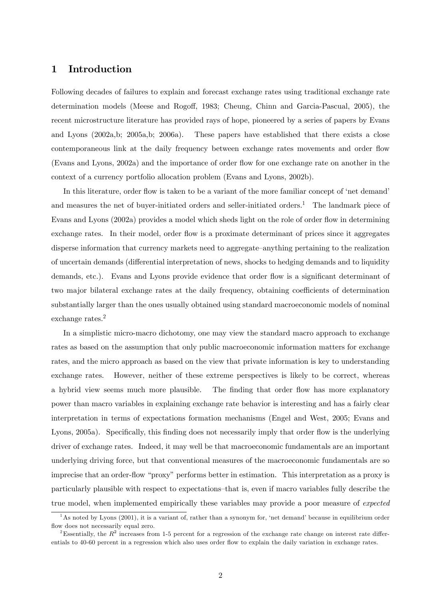## 1 Introduction

Following decades of failures to explain and forecast exchange rates using traditional exchange rate determination models (Meese and Rogoff, 1983; Cheung, Chinn and Garcia-Pascual, 2005), the recent microstructure literature has provided rays of hope, pioneered by a series of papers by Evans and Lyons (2002a,b; 2005a,b; 2006a). These papers have established that there exists a close contemporaneous link at the daily frequency between exchange rates movements and order flow (Evans and Lyons, 2002a) and the importance of order áow for one exchange rate on another in the context of a currency portfolio allocation problem (Evans and Lyons, 2002b).

In this literature, order flow is taken to be a variant of the more familiar concept of 'net demand' and measures the net of buyer-initiated orders and seller-initiated orders.<sup>1</sup> The landmark piece of Evans and Lyons (2002a) provides a model which sheds light on the role of order flow in determining exchange rates. In their model, order flow is a proximate determinant of prices since it aggregates disperse information that currency markets need to aggregate—anything pertaining to the realization of uncertain demands (differential interpretation of news, shocks to hedging demands and to liquidity demands, etc.). Evans and Lyons provide evidence that order flow is a significant determinant of two major bilateral exchange rates at the daily frequency, obtaining coefficients of determination substantially larger than the ones usually obtained using standard macroeconomic models of nominal exchange rates.<sup>2</sup>

In a simplistic micro-macro dichotomy, one may view the standard macro approach to exchange rates as based on the assumption that only public macroeconomic information matters for exchange rates, and the micro approach as based on the view that private information is key to understanding exchange rates. However, neither of these extreme perspectives is likely to be correct, whereas a hybrid view seems much more plausible. The finding that order flow has more explanatory power than macro variables in explaining exchange rate behavior is interesting and has a fairly clear interpretation in terms of expectations formation mechanisms (Engel and West, 2005; Evans and Lyons, 2005a). Specifically, this finding does not necessarily imply that order flow is the underlying driver of exchange rates. Indeed, it may well be that macroeconomic fundamentals are an important underlying driving force, but that conventional measures of the macroeconomic fundamentals are so imprecise that an order-flow "proxy" performs better in estimation. This interpretation as a proxy is particularly plausible with respect to expectations–that is, even if macro variables fully describe the true model, when implemented empirically these variables may provide a poor measure of *expected* 

<sup>&</sup>lt;sup>1</sup>As noted by Lyons (2001), it is a variant of, rather than a synonym for, 'net demand' because in equilibrium order flow does not necessarily equal zero.

<sup>&</sup>lt;sup>2</sup>Essentially, the  $R^2$  increases from 1-5 percent for a regression of the exchange rate change on interest rate differentials to 40-60 percent in a regression which also uses order áow to explain the daily variation in exchange rates.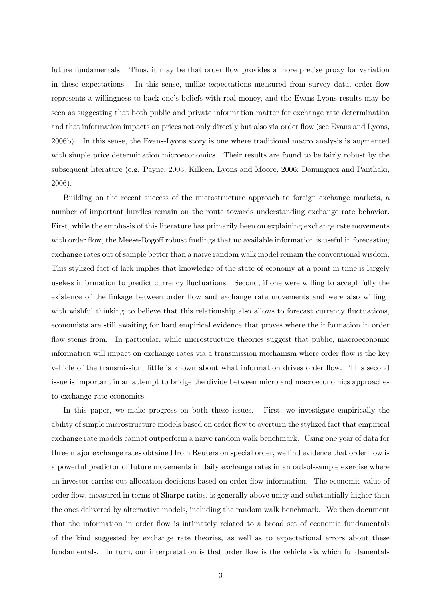future fundamentals. Thus, it may be that order flow provides a more precise proxy for variation in these expectations. In this sense, unlike expectations measured from survey data, order flow represents a willingness to back one's beliefs with real money, and the Evans-Lyons results may be seen as suggesting that both public and private information matter for exchange rate determination and that information impacts on prices not only directly but also via order flow (see Evans and Lyons, 2006b). In this sense, the Evans-Lyons story is one where traditional macro analysis is augmented with simple price determination microeconomics. Their results are found to be fairly robust by the subsequent literature (e.g. Payne, 2003; Killeen, Lyons and Moore, 2006; Dominguez and Panthaki, 2006).

Building on the recent success of the microstructure approach to foreign exchange markets, a number of important hurdles remain on the route towards understanding exchange rate behavior. First, while the emphasis of this literature has primarily been on explaining exchange rate movements with order flow, the Meese-Rogoff robust findings that no available information is useful in forecasting exchange rates out of sample better than a naive random walk model remain the conventional wisdom. This stylized fact of lack implies that knowledge of the state of economy at a point in time is largely useless information to predict currency fluctuations. Second, if one were willing to accept fully the existence of the linkage between order flow and exchange rate movements and were also willing with wishful thinking-to believe that this relationship also allows to forecast currency fluctuations, economists are still awaiting for hard empirical evidence that proves where the information in order flow stems from. In particular, while microstructure theories suggest that public, macroeconomic information will impact on exchange rates via a transmission mechanism where order flow is the key vehicle of the transmission, little is known about what information drives order áow. This second issue is important in an attempt to bridge the divide between micro and macroeconomics approaches to exchange rate economics.

In this paper, we make progress on both these issues. First, we investigate empirically the ability of simple microstructure models based on order flow to overturn the stylized fact that empirical exchange rate models cannot outperform a naive random walk benchmark. Using one year of data for three major exchange rates obtained from Reuters on special order, we find evidence that order flow is a powerful predictor of future movements in daily exchange rates in an out-of-sample exercise where an investor carries out allocation decisions based on order flow information. The economic value of order áow, measured in terms of Sharpe ratios, is generally above unity and substantially higher than the ones delivered by alternative models, including the random walk benchmark. We then document that the information in order flow is intimately related to a broad set of economic fundamentals of the kind suggested by exchange rate theories, as well as to expectational errors about these fundamentals. In turn, our interpretation is that order flow is the vehicle via which fundamentals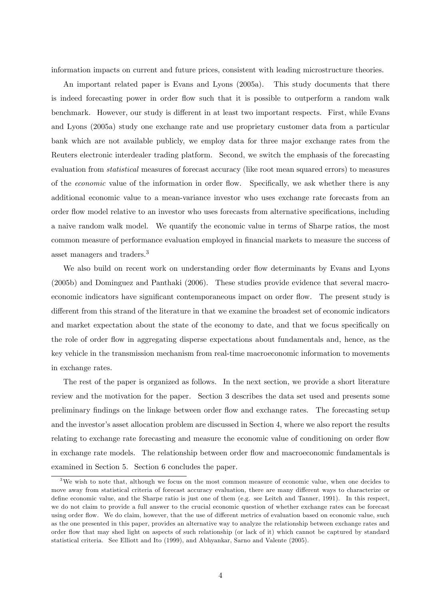information impacts on current and future prices, consistent with leading microstructure theories.

An important related paper is Evans and Lyons (2005a). This study documents that there is indeed forecasting power in order flow such that it is possible to outperform a random walk benchmark. However, our study is different in at least two important respects. First, while Evans and Lyons (2005a) study one exchange rate and use proprietary customer data from a particular bank which are not available publicly, we employ data for three major exchange rates from the Reuters electronic interdealer trading platform. Second, we switch the emphasis of the forecasting evaluation from *statistical* measures of forecast accuracy (like root mean squared errors) to measures of the *economic* value of the information in order flow. Specifically, we ask whether there is any additional economic value to a mean-variance investor who uses exchange rate forecasts from an order flow model relative to an investor who uses forecasts from alternative specifications, including a naive random walk model. We quantify the economic value in terms of Sharpe ratios, the most common measure of performance evaluation employed in financial markets to measure the success of asset managers and traders.<sup>3</sup>

We also build on recent work on understanding order flow determinants by Evans and Lyons (2005b) and Dominguez and Panthaki (2006). These studies provide evidence that several macroeconomic indicators have significant contemporaneous impact on order flow. The present study is different from this strand of the literature in that we examine the broadest set of economic indicators and market expectation about the state of the economy to date, and that we focus specifically on the role of order áow in aggregating disperse expectations about fundamentals and, hence, as the key vehicle in the transmission mechanism from real-time macroeconomic information to movements in exchange rates.

The rest of the paper is organized as follows. In the next section, we provide a short literature review and the motivation for the paper. Section 3 describes the data set used and presents some preliminary Öndings on the linkage between order áow and exchange rates. The forecasting setup and the investor's asset allocation problem are discussed in Section 4, where we also report the results relating to exchange rate forecasting and measure the economic value of conditioning on order flow in exchange rate models. The relationship between order flow and macroeconomic fundamentals is examined in Section 5. Section 6 concludes the paper.

<sup>&</sup>lt;sup>3</sup>We wish to note that, although we focus on the most common measure of economic value, when one decides to move away from statistical criteria of forecast accuracy evaluation, there are many different ways to characterize or define economic value, and the Sharpe ratio is just one of them (e.g. see Leitch and Tanner, 1991). In this respect, we do not claim to provide a full answer to the crucial economic question of whether exchange rates can be forecast using order flow. We do claim, however, that the use of different metrics of evaluation based on economic value, such as the one presented in this paper, provides an alternative way to analyze the relationship between exchange rates and order áow that may shed light on aspects of such relationship (or lack of it) which cannot be captured by standard statistical criteria. See Elliott and Ito (1999), and Abhyankar, Sarno and Valente (2005).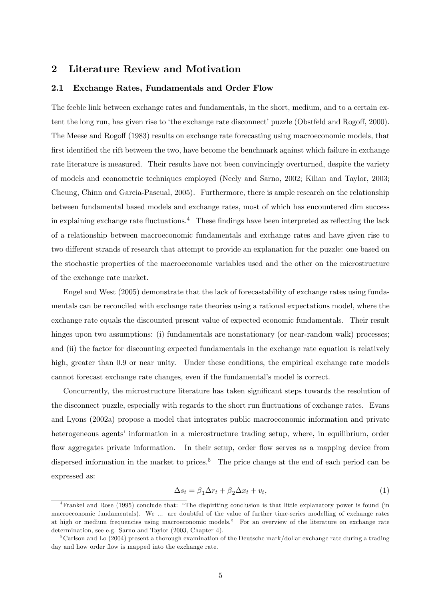## 2 Literature Review and Motivation

#### 2.1 Exchange Rates, Fundamentals and Order Flow

The feeble link between exchange rates and fundamentals, in the short, medium, and to a certain extent the long run, has given rise to 'the exchange rate disconnect' puzzle (Obstfeld and Rogoff, 2000). The Meese and Rogoff (1983) results on exchange rate forecasting using macroeconomic models, that first identified the rift between the two, have become the benchmark against which failure in exchange rate literature is measured. Their results have not been convincingly overturned, despite the variety of models and econometric techniques employed (Neely and Sarno, 2002; Kilian and Taylor, 2003; Cheung, Chinn and Garcia-Pascual, 2005). Furthermore, there is ample research on the relationship between fundamental based models and exchange rates, most of which has encountered dim success in explaining exchange rate fluctuations.<sup>4</sup> These findings have been interpreted as reflecting the lack of a relationship between macroeconomic fundamentals and exchange rates and have given rise to two different strands of research that attempt to provide an explanation for the puzzle: one based on the stochastic properties of the macroeconomic variables used and the other on the microstructure of the exchange rate market.

Engel and West (2005) demonstrate that the lack of forecastability of exchange rates using fundamentals can be reconciled with exchange rate theories using a rational expectations model, where the exchange rate equals the discounted present value of expected economic fundamentals. Their result hinges upon two assumptions: (i) fundamentals are nonstationary (or near-random walk) processes; and (ii) the factor for discounting expected fundamentals in the exchange rate equation is relatively high, greater than 0.9 or near unity. Under these conditions, the empirical exchange rate models cannot forecast exchange rate changes, even if the fundamentalís model is correct.

Concurrently, the microstructure literature has taken significant steps towards the resolution of the disconnect puzzle, especially with regards to the short run fluctuations of exchange rates. Evans and Lyons (2002a) propose a model that integrates public macroeconomic information and private heterogeneous agents' information in a microstructure trading setup, where, in equilibrium, order flow aggregates private information. In their setup, order flow serves as a mapping device from dispersed information in the market to prices.<sup>5</sup> The price change at the end of each period can be expressed as:

$$
\Delta s_t = \beta_1 \Delta r_t + \beta_2 \Delta x_t + v_t,\tag{1}
$$

<sup>&</sup>lt;sup>4</sup>Frankel and Rose (1995) conclude that: "The dispiriting conclusion is that little explanatory power is found (in macroeconomic fundamentals). We ... are doubtful of the value of further time-series modelling of exchange rates at high or medium frequencies using macroeconomic models." For an overview of the literature on exchange rate determination, see e.g. Sarno and Taylor (2003, Chapter 4).

<sup>&</sup>lt;sup>5</sup>Carlson and Lo (2004) present a thorough examination of the Deutsche mark/dollar exchange rate during a trading day and how order flow is mapped into the exchange rate.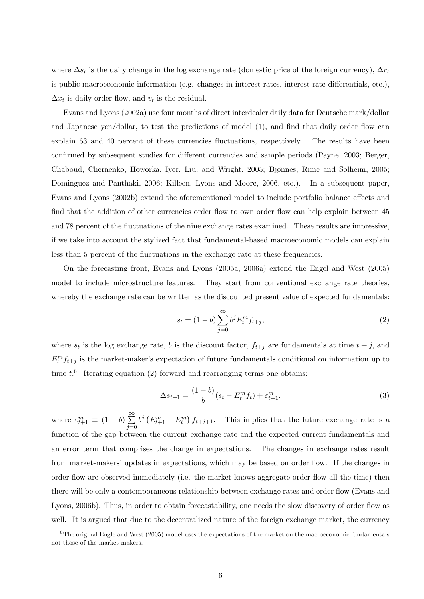where  $\Delta s_t$  is the daily change in the log exchange rate (domestic price of the foreign currency),  $\Delta r_t$ is public macroeconomic information (e.g. changes in interest rates, interest rate differentials, etc.),  $\Delta x_t$  is daily order flow, and  $v_t$  is the residual.

Evans and Lyons (2002a) use four months of direct interdealer daily data for Deutsche mark/dollar and Japanese yen/dollar, to test the predictions of model  $(1)$ , and find that daily order flow can explain 63 and 40 percent of these currencies fluctuations, respectively. The results have been confirmed by subsequent studies for different currencies and sample periods (Payne, 2003; Berger, Chaboud, Chernenko, Howorka, Iver, Liu, and Wright, 2005; Bjønnes, Rime and Solheim, 2005; Dominguez and Panthaki, 2006; Killeen, Lyons and Moore, 2006, etc.). In a subsequent paper, Evans and Lyons (2002b) extend the aforementioned model to include portfolio balance effects and find that the addition of other currencies order flow to own order flow can help explain between 45 and 78 percent of the fluctuations of the nine exchange rates examined. These results are impressive, if we take into account the stylized fact that fundamental-based macroeconomic models can explain less than 5 percent of the fluctuations in the exchange rate at these frequencies.

On the forecasting front, Evans and Lyons (2005a, 2006a) extend the Engel and West (2005) model to include microstructure features. They start from conventional exchange rate theories, whereby the exchange rate can be written as the discounted present value of expected fundamentals:

$$
s_t = (1 - b) \sum_{j=0}^{\infty} b^j E_t^m f_{t+j},
$$
\n(2)

where  $s_t$  is the log exchange rate, b is the discount factor,  $f_{t+j}$  are fundamentals at time  $t+j$ , and  $E_t^m f_{t+j}$  is the market-maker's expectation of future fundamentals conditional on information up to time  $t$ <sup>6</sup> Iterating equation (2) forward and rearranging terms one obtains:

$$
\Delta s_{t+1} = \frac{(1-b)}{b}(s_t - E_t^m f_t) + \varepsilon_{t+1}^m,\tag{3}
$$

where  $\varepsilon_{t+1}^m \equiv (1-b) \sum_{i=0}^{\infty}$  $j=0$  $b^j \left( E_{t+1}^m - E_t^m \right) f_{t+j+1}$ . This implies that the future exchange rate is a function of the gap between the current exchange rate and the expected current fundamentals and an error term that comprises the change in expectations. The changes in exchange rates result from market-makers' updates in expectations, which may be based on order flow. If the changes in order áow are observed immediately (i.e. the market knows aggregate order áow all the time) then there will be only a contemporaneous relationship between exchange rates and order flow (Evans and Lyons, 2006b). Thus, in order to obtain forecastability, one needs the slow discovery of order flow as well. It is argued that due to the decentralized nature of the foreign exchange market, the currency

 $6$ The original Engle and West (2005) model uses the expectations of the market on the macroeconomic fundamentals not those of the market makers.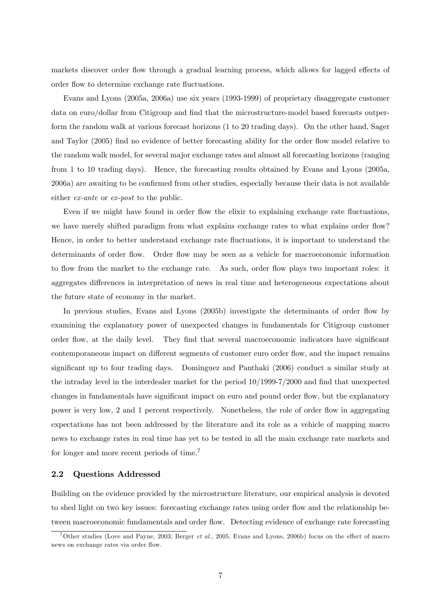markets discover order flow through a gradual learning process, which allows for lagged effects of order flow to determine exchange rate fluctuations.

Evans and Lyons (2005a, 2006a) use six years (1993-1999) of proprietary disaggregate customer data on euro/dollar from Citigroup and find that the microstructure-model based forecasts outperform the random walk at various forecast horizons (1 to 20 trading days). On the other hand, Sager and Taylor (2005) find no evidence of better forecasting ability for the order flow model relative to the random walk model, for several major exchange rates and almost all forecasting horizons (ranging from 1 to 10 trading days). Hence, the forecasting results obtained by Evans and Lyons (2005a, 2006a) are awaiting to be confirmed from other studies, especially because their data is not available either ex-ante or ex-post to the public.

Even if we might have found in order flow the elixir to explaining exchange rate fluctuations, we have merely shifted paradigm from what explains exchange rates to what explains order flow? Hence, in order to better understand exchange rate fluctuations, it is important to understand the determinants of order flow. Order flow may be seen as a vehicle for macroeconomic information to flow from the market to the exchange rate. As such, order flow plays two important roles: it aggregates differences in interpretation of news in real time and heterogeneous expectations about the future state of economy in the market.

In previous studies, Evans and Lyons (2005b) investigate the determinants of order flow by examining the explanatory power of unexpected changes in fundamentals for Citigroup customer order flow, at the daily level. They find that several macroeconomic indicators have significant contemporaneous impact on different segments of customer euro order flow, and the impact remains significant up to four trading days. Dominguez and Panthaki (2006) conduct a similar study at the intraday level in the interdealer market for the period  $10/1999-7/2000$  and find that unexpected changes in fundamentals have significant impact on euro and pound order flow, but the explanatory power is very low, 2 and 1 percent respectively. Nonetheless, the role of order flow in aggregating expectations has not been addressed by the literature and its role as a vehicle of mapping macro news to exchange rates in real time has yet to be tested in all the main exchange rate markets and for longer and more recent periods of time.<sup>7</sup>

#### 2.2 Questions Addressed

Building on the evidence provided by the microstructure literature, our empirical analysis is devoted to shed light on two key issues: forecasting exchange rates using order flow and the relationship between macroeconomic fundamentals and order flow. Detecting evidence of exchange rate forecasting

<sup>&</sup>lt;sup>7</sup>Other studies (Love and Payne, 2003; Berger *et al.*, 2005, Evans and Lyons, 2006b) focus on the effect of macro news on exchange rates via order flow.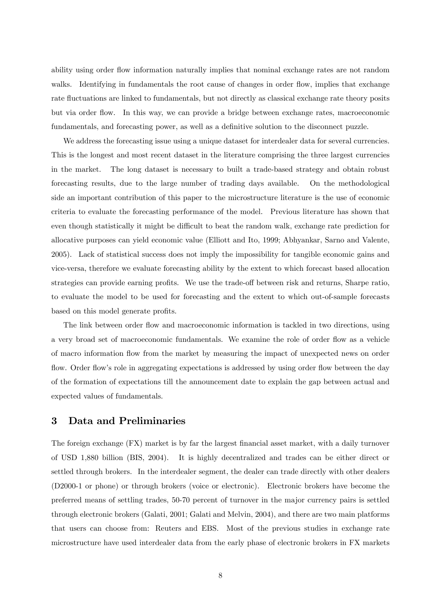ability using order flow information naturally implies that nominal exchange rates are not random walks. Identifying in fundamentals the root cause of changes in order flow, implies that exchange rate fluctuations are linked to fundamentals, but not directly as classical exchange rate theory posits but via order flow. In this way, we can provide a bridge between exchange rates, macroeconomic fundamentals, and forecasting power, as well as a definitive solution to the disconnect puzzle.

We address the forecasting issue using a unique dataset for interdealer data for several currencies. This is the longest and most recent dataset in the literature comprising the three largest currencies in the market. The long dataset is necessary to built a trade-based strategy and obtain robust forecasting results, due to the large number of trading days available. On the methodological side an important contribution of this paper to the microstructure literature is the use of economic criteria to evaluate the forecasting performance of the model. Previous literature has shown that even though statistically it might be difficult to beat the random walk, exchange rate prediction for allocative purposes can yield economic value (Elliott and Ito, 1999; Abhyankar, Sarno and Valente, 2005). Lack of statistical success does not imply the impossibility for tangible economic gains and vice-versa, therefore we evaluate forecasting ability by the extent to which forecast based allocation strategies can provide earning profits. We use the trade-off between risk and returns, Sharpe ratio, to evaluate the model to be used for forecasting and the extent to which out-of-sample forecasts based on this model generate profits.

The link between order flow and macroeconomic information is tackled in two directions, using a very broad set of macroeconomic fundamentals. We examine the role of order flow as a vehicle of macro information áow from the market by measuring the impact of unexpected news on order flow. Order flow's role in aggregating expectations is addressed by using order flow between the day of the formation of expectations till the announcement date to explain the gap between actual and expected values of fundamentals.

## 3 Data and Preliminaries

The foreign exchange (FX) market is by far the largest financial asset market, with a daily turnover of USD 1,880 billion (BIS, 2004). It is highly decentralized and trades can be either direct or settled through brokers. In the interdealer segment, the dealer can trade directly with other dealers (D2000-1 or phone) or through brokers (voice or electronic). Electronic brokers have become the preferred means of settling trades, 50-70 percent of turnover in the major currency pairs is settled through electronic brokers (Galati, 2001; Galati and Melvin, 2004), and there are two main platforms that users can choose from: Reuters and EBS. Most of the previous studies in exchange rate microstructure have used interdealer data from the early phase of electronic brokers in FX markets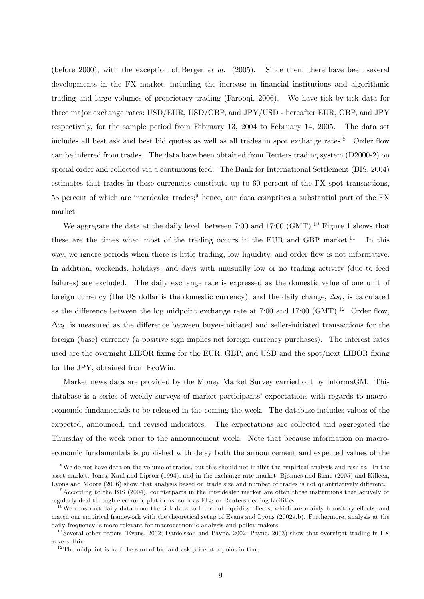(before 2000), with the exception of Berger et al. (2005). Since then, there have been several developments in the FX market, including the increase in financial institutions and algorithmic trading and large volumes of proprietary trading (Farooqi, 2006). We have tick-by-tick data for three major exchange rates: USD/EUR, USD/GBP, and JPY/USD - hereafter EUR, GBP, and JPY respectively, for the sample period from February 13, 2004 to February 14, 2005. The data set includes all best ask and best bid quotes as well as all trades in spot exchange rates.<sup>8</sup> Order flow can be inferred from trades. The data have been obtained from Reuters trading system (D2000-2) on special order and collected via a continuous feed. The Bank for International Settlement (BIS, 2004) estimates that trades in these currencies constitute up to 60 percent of the FX spot transactions, 53 percent of which are interdealer trades;<sup>9</sup> hence, our data comprises a substantial part of the FX market.

We aggregate the data at the daily level, between 7:00 and 17:00 (GMT).<sup>10</sup> Figure 1 shows that these are the times when most of the trading occurs in the EUR and GBP market.<sup>11</sup> In this way, we ignore periods when there is little trading, low liquidity, and order flow is not informative. In addition, weekends, holidays, and days with unusually low or no trading activity (due to feed failures) are excluded. The daily exchange rate is expressed as the domestic value of one unit of foreign currency (the US dollar is the domestic currency), and the daily change,  $\Delta s_t$ , is calculated as the difference between the log midpoint exchange rate at  $7:00$  and  $17:00$  (GMT).<sup>12</sup> Order flow,  $\Delta x_t$ , is measured as the difference between buyer-initiated and seller-initiated transactions for the foreign (base) currency (a positive sign implies net foreign currency purchases). The interest rates used are the overnight LIBOR fixing for the EUR, GBP, and USD and the spot/next LIBOR fixing for the JPY, obtained from EcoWin.

Market news data are provided by the Money Market Survey carried out by InformaGM. This database is a series of weekly surveys of market participantsí expectations with regards to macroeconomic fundamentals to be released in the coming the week. The database includes values of the expected, announced, and revised indicators. The expectations are collected and aggregated the Thursday of the week prior to the announcement week. Note that because information on macroeconomic fundamentals is published with delay both the announcement and expected values of the

<sup>&</sup>lt;sup>8</sup>We do not have data on the volume of trades, but this should not inhibit the empirical analysis and results. In the asset market, Jones, Kaul and Lipson (1994), and in the exchange rate market, Bjønnes and Rime (2005) and Killeen, Lyons and Moore (2006) show that analysis based on trade size and number of trades is not quantitatively different.

 $9$ According to the BIS (2004), counterparts in the interdealer market are often those institutions that actively or regularly deal through electronic platforms, such as EBS or Reuters dealing facilities.

 $10$ We construct daily data from the tick data to filter out liquidity effects, which are mainly transitory effects, and match our empirical framework with the theoretical setup of Evans and Lyons (2002a,b). Furthermore, analysis at the daily frequency is more relevant for macroeconomic analysis and policy makers.

<sup>&</sup>lt;sup>11</sup> Several other papers (Evans, 2002; Danielsson and Payne, 2002; Payne, 2003) show that overnight trading in FX is very thin.

 $12$ The midpoint is half the sum of bid and ask price at a point in time.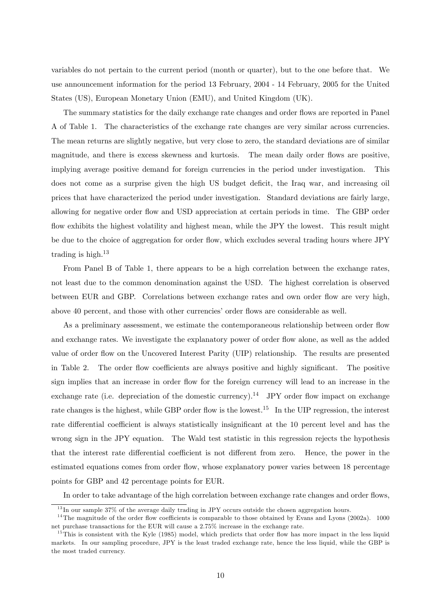variables do not pertain to the current period (month or quarter), but to the one before that. We use announcement information for the period 13 February, 2004 - 14 February, 2005 for the United States (US), European Monetary Union (EMU), and United Kingdom (UK).

The summary statistics for the daily exchange rate changes and order flows are reported in Panel A of Table 1. The characteristics of the exchange rate changes are very similar across currencies. The mean returns are slightly negative, but very close to zero, the standard deviations are of similar magnitude, and there is excess skewness and kurtosis. The mean daily order flows are positive, implying average positive demand for foreign currencies in the period under investigation. This does not come as a surprise given the high US budget deficit, the Iraq war, and increasing oil prices that have characterized the period under investigation. Standard deviations are fairly large, allowing for negative order flow and USD appreciation at certain periods in time. The GBP order flow exhibits the highest volatility and highest mean, while the JPY the lowest. This result might be due to the choice of aggregation for order flow, which excludes several trading hours where JPY trading is high.<sup>13</sup>

From Panel B of Table 1, there appears to be a high correlation between the exchange rates, not least due to the common denomination against the USD. The highest correlation is observed between EUR and GBP. Correlations between exchange rates and own order flow are very high, above 40 percent, and those with other currencies' order flows are considerable as well.

As a preliminary assessment, we estimate the contemporaneous relationship between order flow and exchange rates. We investigate the explanatory power of order flow alone, as well as the added value of order flow on the Uncovered Interest Parity (UIP) relationship. The results are presented in Table 2. The order flow coefficients are always positive and highly significant. The positive sign implies that an increase in order flow for the foreign currency will lead to an increase in the exchange rate (i.e. depreciation of the domestic currency).<sup>14</sup> JPY order flow impact on exchange rate changes is the highest, while GBP order flow is the lowest.<sup>15</sup> In the UIP regression, the interest rate differential coefficient is always statistically insignificant at the 10 percent level and has the wrong sign in the JPY equation. The Wald test statistic in this regression rejects the hypothesis that the interest rate differential coefficient is not different from zero. Hence, the power in the estimated equations comes from order flow, whose explanatory power varies between 18 percentage points for GBP and 42 percentage points for EUR.

In order to take advantage of the high correlation between exchange rate changes and order flows,

 $13$  In our sample 37% of the average daily trading in JPY occurs outside the chosen aggregation hours.

<sup>&</sup>lt;sup>14</sup>The magnitude of the order flow coefficients is comparable to those obtained by Evans and Lyons (2002a). 1000 net purchase transactions for the EUR will cause a 2.75% increase in the exchange rate.

 $15$ This is consistent with the Kyle (1985) model, which predicts that order flow has more impact in the less liquid markets. In our sampling procedure, JPY is the least traded exchange rate, hence the less liquid, while the GBP is the most traded currency.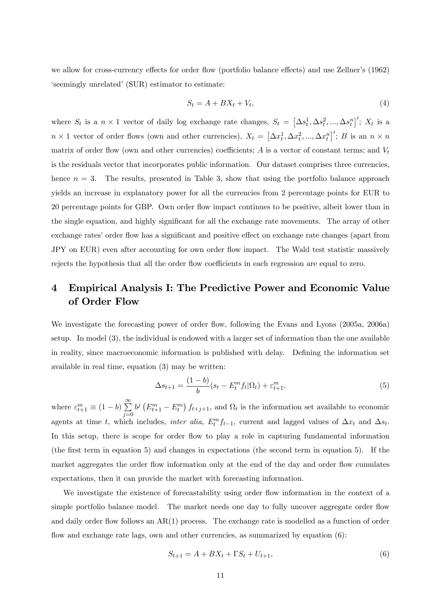we allow for cross-currency effects for order flow (portfolio balance effects) and use Zellner's (1962) 'seemingly unrelated' (SUR) estimator to estimate:

$$
S_t = A + BX_t + V_t,\tag{4}
$$

where  $S_t$  is a  $n \times 1$  vector of daily log exchange rate changes,  $S_t = [\Delta s_t^1, \Delta s_t^2, ..., \Delta s_t^n]'$ ;  $X_t$  is a  $n \times 1$  vector of order flows (own and other currencies),  $X_t = [\Delta x_t^1, \Delta x_t^2, ..., \Delta x_t^n]'$ ; B is an  $n \times n$ matrix of order flow (own and other currencies) coefficients; A is a vector of constant terms; and  $V_t$ is the residuals vector that incorporates public information. Our dataset comprises three currencies, hence  $n = 3$ . The results, presented in Table 3, show that using the portfolio balance approach yields an increase in explanatory power for all the currencies from 2 percentage points for EUR to 20 percentage points for GBP. Own order áow impact continues to be positive, albeit lower than in the single equation, and highly significant for all the exchange rate movements. The array of other exchange rates' order flow has a significant and positive effect on exchange rate changes (apart from JPY on EUR) even after accounting for own order flow impact. The Wald test statistic massively rejects the hypothesis that all the order flow coefficients in each regression are equal to zero.

## 4 Empirical Analysis I: The Predictive Power and Economic Value of Order Flow

We investigate the forecasting power of order flow, following the Evans and Lyons (2005a, 2006a) setup. In model (3), the individual is endowed with a larger set of information than the one available in reality, since macroeconomic information is published with delay. Defining the information set available in real time, equation (3) may be written:

$$
\Delta s_{t+1} = \frac{(1-b)}{b} (s_t - E_t^m f_t | \Omega_t) + \varepsilon_{t+1}^m. \tag{5}
$$

where  $\varepsilon_{t+1}^m \equiv (1-b) \sum_{i=0}^{\infty}$  $j=0$  $b^j\left(E_{t+1}^m - E_t^m\right) f_{t+j+1}$ , and  $\Omega_t$  is the information set available to economic agents at time t, which includes, *inter alia*,  $E_t^m f_{t-1}$ , current and lagged values of  $\Delta x_t$  and  $\Delta s_t$ . In this setup, there is scope for order flow to play a role in capturing fundamental information (the Örst term in equation 5) and changes in expectations (the second term in equation 5). If the market aggregates the order flow information only at the end of the day and order flow cumulates expectations, then it can provide the market with forecasting information.

We investigate the existence of forecastability using order flow information in the context of a simple portfolio balance model. The market needs one day to fully uncover aggregate order flow and daily order flow follows an  $AR(1)$  process. The exchange rate is modelled as a function of order flow and exchange rate lags, own and other currencies, as summarized by equation  $(6)$ :

$$
S_{t+1} = A + BX_t + \Gamma S_t + U_{t+1},\tag{6}
$$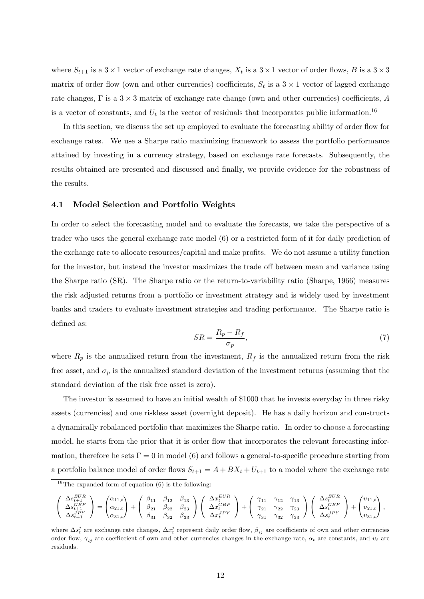where  $S_{t+1}$  is a  $3 \times 1$  vector of exchange rate changes,  $X_t$  is a  $3 \times 1$  vector of order flows, B is a  $3 \times 3$ matrix of order flow (own and other currencies) coefficients,  $S_t$  is a  $3 \times 1$  vector of lagged exchange rate changes,  $\Gamma$  is a  $3 \times 3$  matrix of exchange rate change (own and other currencies) coefficients, A is a vector of constants, and  $U_t$  is the vector of residuals that incorporates public information.<sup>16</sup>

In this section, we discuss the set up employed to evaluate the forecasting ability of order flow for exchange rates. We use a Sharpe ratio maximizing framework to assess the portfolio performance attained by investing in a currency strategy, based on exchange rate forecasts. Subsequently, the results obtained are presented and discussed and finally, we provide evidence for the robustness of the results.

#### 4.1 Model Selection and Portfolio Weights

In order to select the forecasting model and to evaluate the forecasts, we take the perspective of a trader who uses the general exchange rate model (6) or a restricted form of it for daily prediction of the exchange rate to allocate resources/capital and make profits. We do not assume a utility function for the investor, but instead the investor maximizes the trade off between mean and variance using the Sharpe ratio (SR). The Sharpe ratio or the return-to-variability ratio (Sharpe, 1966) measures the risk adjusted returns from a portfolio or investment strategy and is widely used by investment banks and traders to evaluate investment strategies and trading performance. The Sharpe ratio is defined as:

$$
SR = \frac{R_p - R_f}{\sigma_p},\tag{7}
$$

where  $R_p$  is the annualized return from the investment,  $R_f$  is the annualized return from the risk free asset, and  $\sigma_p$  is the annualized standard deviation of the investment returns (assuming that the standard deviation of the risk free asset is zero).

The investor is assumed to have an initial wealth of \$1000 that he invests everyday in three risky assets (currencies) and one riskless asset (overnight deposit). He has a daily horizon and constructs a dynamically rebalanced portfolio that maximizes the Sharpe ratio. In order to choose a forecasting model, he starts from the prior that it is order flow that incorporates the relevant forecasting information, therefore he sets  $\Gamma = 0$  in model (6) and follows a general-to-specific procedure starting from a portfolio balance model of order flows  $S_{t+1} = A + BX_t + U_{t+1}$  to a model where the exchange rate

$$
\left( \begin{array}{c} \Delta s_{t+1}^{EUR} \\ \Delta s_{t+1}^{ABP} \\ \Delta s_{t+1}^{IPY} \end{array} \right) = \left( \begin{array}{ccc} \alpha_{11,t} \\ \alpha_{21,t} \\ \alpha_{31,t} \end{array} \right) + \left( \begin{array}{ccc} \beta_{11} & \beta_{12} & \beta_{13} \\ \beta_{21} & \beta_{22} & \beta_{23} \\ \beta_{31} & \beta_{32} & \beta_{33} \end{array} \right) \left( \begin{array}{ccc} \Delta x_{t}^{EUR} \\ \Delta x_{t}^{GBP} \\ \Delta x_{t}^{IPY} \end{array} \right) + \left( \begin{array}{ccc} \gamma_{11} & \gamma_{12} & \gamma_{13} \\ \gamma_{21} & \gamma_{22} & \gamma_{23} \\ \gamma_{31} & \gamma_{32} & \gamma_{33} \end{array} \right) \left( \begin{array}{c} \Delta s_{t}^{EUR} \\ \Delta s_{t}^{GBP} \\ \Delta s_{t}^{IPY} \end{array} \right) + \left( \begin{array}{c} v_{11,t} \\ v_{21,t} \\ v_{31,t} \end{array} \right),
$$

<sup>&</sup>lt;sup>16</sup>The expanded form of equation  $(6)$  is the following:

where  $\Delta s_i^j$  are exchange rate changes,  $\Delta x_i^j$  represent daily order flow,  $\beta_{ij}$  are coefficients of own and other currencies order flow,  $\gamma_{ij}$  are coeffiecient of own and other currencies changes in the exchange rate,  $\alpha_t$  are constants, and  $v_t$  are residuals.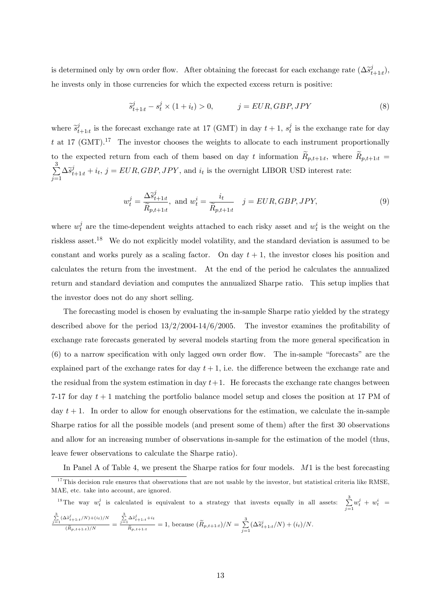is determined only by own order flow. After obtaining the forecast for each exchange rate  $(\Delta \tilde{s}_t^j)$  $_{t+1:t}^{\jmath}),$ he invests only in those currencies for which the expected excess return is positive:

$$
\widetilde{s}_{t+1:t}^j - s_t^j \times (1+i_t) > 0, \qquad j = EUR, GBP, JPY \tag{8}
$$

where  $\widetilde{s}_t^j$  $t_{t+1:t}$  is the forecast exchange rate at 17 (GMT) in day  $t+1$ ,  $s_t^j$  $t_i$  is the exchange rate for day t at 17 (GMT).<sup>17</sup> The investor chooses the weights to allocate to each instrument proportionally to the expected return from each of them based on day t information  $R_{p,t+1:t}$ , where  $R_{p,t+1:t}$  $\frac{3}{2}$  $\sum_{j=1}^{8} \Delta \tilde{s}_{t+1|t}^j + i_t, j = EUR, GBP, JPY$ , and  $i_t$  is the overnight LIBOR USD interest rate:

$$
w_t^j = \frac{\Delta \tilde{s}_{t+1:t}^j}{\tilde{R}_{p,t+1:t}}, \text{ and } w_t^i = \frac{i_t}{\tilde{R}_{p,t+1:t}} \quad j = EUR, GBP, JPY,
$$
\n
$$
(9)
$$

where  $w_t^j$  $t_i$  are the time-dependent weights attached to each risky asset and  $w_t^i$  is the weight on the riskless asset.<sup>18</sup> We do not explicitly model volatility, and the standard deviation is assumed to be constant and works purely as a scaling factor. On day  $t + 1$ , the investor closes his position and calculates the return from the investment. At the end of the period he calculates the annualized return and standard deviation and computes the annualized Sharpe ratio. This setup implies that the investor does not do any short selling.

The forecasting model is chosen by evaluating the in-sample Sharpe ratio yielded by the strategy described above for the period  $13/2/2004-14/6/2005$ . The investor examines the profitability of exchange rate forecasts generated by several models starting from the more general specification in  $(6)$  to a narrow specification with only lagged own order flow. The in-sample "forecasts" are the explained part of the exchange rates for day  $t + 1$ , i.e. the difference between the exchange rate and the residual from the system estimation in day  $t+1$ . He forecasts the exchange rate changes between 7-17 for day  $t + 1$  matching the portfolio balance model setup and closes the position at 17 PM of day  $t + 1$ . In order to allow for enough observations for the estimation, we calculate the in-sample Sharpe ratios for all the possible models (and present some of them) after the first 30 observations and allow for an increasing number of observations in-sample for the estimation of the model (thus, leave fewer observations to calculate the Sharpe ratio).

In Panel A of Table 4, we present the Sharpe ratios for four models. M1 is the best forecasting

<sup>18</sup>The way  $w_t^j$  is calculated is equivalent to a strategy that invests equally in all assets:  $\sum_{j=1}^3 w_t^j + w_t^i =$  $\sum_{j=1}^{3} (\Delta \tilde{s}_{t+1:t}^{j}/N)+(i_{t})/N$  $(\tilde{R}_{p,t+1:t})/N$  =  $\sum_{j=1}^3 \Delta \tilde{s}^j_{t+1:t}+i_t$  $\frac{\widetilde{\Delta s}_{t+1:t}+i}{\widetilde{R}_{p,t+1:t}}=1$ , because  $(\widetilde{R}_{p,t+1:t})/N=\sum_{i=1}^3$  $\sum_{j=1}^{8} (\Delta \tilde{s}^j_{t+1|t}/N) + (i_t)/N.$ 

 $17$ This decision rule ensures that observations that are not usable by the investor, but statistical criteria like RMSE, MAE, etc. take into account, are ignored.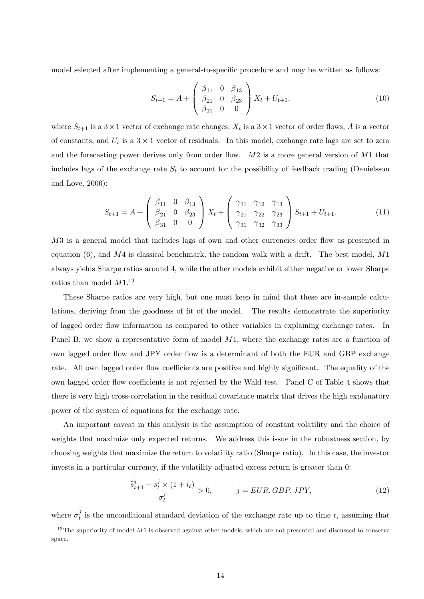model selected after implementing a general-to-specific procedure and may be written as follows:

$$
S_{t+1} = A + \begin{pmatrix} \beta_{11} & 0 & \beta_{13} \\ \beta_{21} & 0 & \beta_{23} \\ \beta_{31} & 0 & 0 \end{pmatrix} X_t + U_{t+1},
$$
\n(10)

where  $S_{t+1}$  is a  $3 \times 1$  vector of exchange rate changes,  $X_t$  is a  $3 \times 1$  vector of order flows, A is a vector of constants, and  $U_t$  is a  $3 \times 1$  vector of residuals. In this model, exchange rate lags are set to zero and the forecasting power derives only from order flow.  $M2$  is a more general version of  $M1$  that includes lags of the exchange rate  $S_t$  to account for the possibility of feedback trading (Danielsson and Love, 2006):

$$
S_{t+1} = A + \begin{pmatrix} \beta_{11} & 0 & \beta_{13} \\ \beta_{21} & 0 & \beta_{23} \\ \beta_{31} & 0 & 0 \end{pmatrix} X_t + \begin{pmatrix} \gamma_{11} & \gamma_{12} & \gamma_{13} \\ \gamma_{21} & \gamma_{22} & \gamma_{23} \\ \gamma_{31} & \gamma_{32} & \gamma_{33} \end{pmatrix} S_{t+1} + U_{t+1}.
$$
 (11)

M3 is a general model that includes lags of own and other currencies order flow as presented in equation (6), and  $M4$  is classical benchmark, the random walk with a drift. The best model,  $M1$ always yields Sharpe ratios around 4, while the other models exhibit either negative or lower Sharpe ratios than model  $M1.^{19}$ 

These Sharpe ratios are very high, but one must keep in mind that these are in-sample calculations, deriving from the goodness of fit of the model. The results demonstrate the superiority of lagged order áow information as compared to other variables in explaining exchange rates. In Panel B, we show a representative form of model M1, where the exchange rates are a function of own lagged order flow and JPY order flow is a determinant of both the EUR and GBP exchange rate. All own lagged order flow coefficients are positive and highly significant. The equality of the own lagged order flow coefficients is not rejected by the Wald test. Panel C of Table 4 shows that there is very high cross-correlation in the residual covariance matrix that drives the high explanatory power of the system of equations for the exchange rate.

An important caveat in this analysis is the assumption of constant volatility and the choice of weights that maximize only expected returns. We address this issue in the robustness section, by choosing weights that maximize the return to volatility ratio (Sharpe ratio). In this case, the investor invests in a particular currency, if the volatility adjusted excess return is greater than 0:

$$
\frac{\tilde{s}_{t+1}^j - s_t^j \times (1 + i_t)}{\sigma_t^j} > 0, \qquad j = EUR, GBP, JPY,
$$
\n(12)

where  $\sigma_t^j$  $_t^j$  is the unconditional standard deviation of the exchange rate up to time t, assuming that

 $19$ The superiority of model M1 is observed against other models, which are not presented and discussed to conserve space.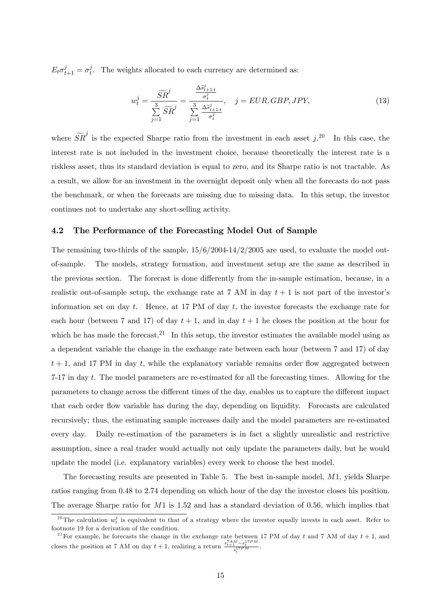$E_t \sigma_{t+1}^j = \sigma_t^j$  $t_t^j$ . The weights allocated to each currency are determined as:

$$
w_t^j = \frac{\widetilde{SR}^j}{\sum\limits_{j=1}^3 \widetilde{SR}^j} = \frac{\frac{\Delta \widetilde{s}_{t+1:t}^j}{\sigma_t^j}}{\sum\limits_{j=1}^3 \frac{\Delta \widetilde{s}_{t+1:t}^j}{\sigma_t^j}}, \quad j = EUR, GBP, JPY,
$$
\n(13)

where  $\widetilde{SR}^j$  is the expected Sharpe ratio from the investment in each asset  $j$ .<sup>20</sup> In this case, the interest rate is not included in the investment choice, because theoretically the interest rate is a riskless asset, thus its standard deviation is equal to zero, and its Sharpe ratio is not tractable. As a result, we allow for an investment in the overnight deposit only when all the forecasts do not pass the benchmark, or when the forecasts are missing due to missing data. In this setup, the investor continues not to undertake any short-selling activity.

### 4.2 The Performance of the Forecasting Model Out of Sample

The remaining two-thirds of the sample,  $15/6/2004-14/2/2005$  are used, to evaluate the model outof-sample. The models, strategy formation, and investment setup are the same as described in the previous section. The forecast is done differently from the in-sample estimation, because, in a realistic out-of-sample setup, the exchange rate at 7 AM in day  $t + 1$  is not part of the investor's information set on day  $t$ . Hence, at 17 PM of day  $t$ , the investor forecasts the exchange rate for each hour (between 7 and 17) of day  $t + 1$ , and in day  $t + 1$  he closes the position at the hour for which he has made the forecast.<sup>21</sup> In this setup, the investor estimates the available model using as a dependent variable the change in the exchange rate between each hour (between 7 and 17) of day  $t + 1$ , and 17 PM in day t, while the explanatory variable remains order flow aggregated between 7-17 in day t. The model parameters are re-estimated for all the forecasting times. Allowing for the parameters to change across the different times of the day, enables us to capture the different impact that each order áow variable has during the day, depending on liquidity. Forecasts are calculated recursively; thus, the estimating sample increases daily and the model parameters are re-estimated every day. Daily re-estimation of the parameters is in fact a slightly unrealistic and restrictive assumption, since a real trader would actually not only update the parameters daily, but he would update the model (i.e. explanatory variables) every week to choose the best model.

The forecasting results are presented in Table 5. The best in-sample model, M1, yields Sharpe ratios ranging from 0.48 to 2.74 depending on which hour of the day the investor closes his position. The average Sharpe ratio for  $M1$  is 1.52 and has a standard deviation of 0.56, which implies that

<sup>&</sup>lt;sup>20</sup>The calculation  $w_t^j$  is equivalent to that of a strategy where the investor equally invests in each asset. Refer to footnote 19 for a derivation of the condition.

<sup>&</sup>lt;sup>21</sup> For example, he forecasts the change in the exchange rate between 17 PM of day t and 7 AM of day  $t + 1$ , and closes the position at 7 AM on day  $t + 1$ , realizing a return  $\frac{s_{t+1}^{7AM} - s_t^{17PM}}{s_t^{17PM}}$ .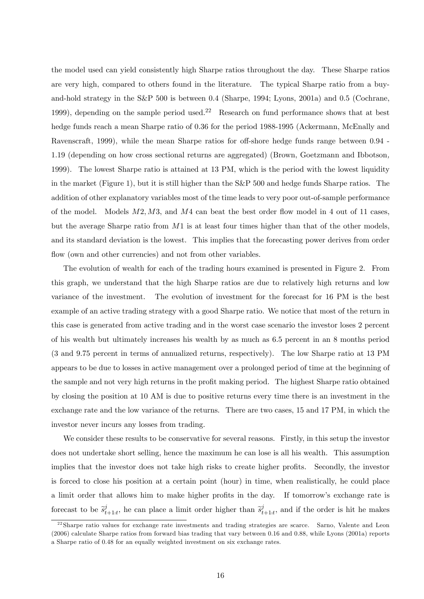the model used can yield consistently high Sharpe ratios throughout the day. These Sharpe ratios are very high, compared to others found in the literature. The typical Sharpe ratio from a buyand-hold strategy in the S&P 500 is between 0.4 (Sharpe, 1994; Lyons, 2001a) and 0.5 (Cochrane, 1999), depending on the sample period used.<sup>22</sup> Research on fund performance shows that at best hedge funds reach a mean Sharpe ratio of 0.36 for the period 1988-1995 (Ackermann, McEnally and Ravenscraft, 1999), while the mean Sharpe ratios for off-shore hedge funds range between 0.94 -1.19 (depending on how cross sectional returns are aggregated) (Brown, Goetzmann and Ibbotson, 1999). The lowest Sharpe ratio is attained at 13 PM, which is the period with the lowest liquidity in the market (Figure 1), but it is still higher than the S&P 500 and hedge funds Sharpe ratios. The addition of other explanatory variables most of the time leads to very poor out-of-sample performance of the model. Models  $M2, M3$ , and  $M4$  can beat the best order flow model in 4 out of 11 cases, but the average Sharpe ratio from  $M1$  is at least four times higher than that of the other models, and its standard deviation is the lowest. This implies that the forecasting power derives from order flow (own and other currencies) and not from other variables.

The evolution of wealth for each of the trading hours examined is presented in Figure 2. From this graph, we understand that the high Sharpe ratios are due to relatively high returns and low variance of the investment. The evolution of investment for the forecast for 16 PM is the best example of an active trading strategy with a good Sharpe ratio. We notice that most of the return in this case is generated from active trading and in the worst case scenario the investor loses 2 percent of his wealth but ultimately increases his wealth by as much as 6.5 percent in an 8 months period (3 and 9.75 percent in terms of annualized returns, respectively). The low Sharpe ratio at 13 PM appears to be due to losses in active management over a prolonged period of time at the beginning of the sample and not very high returns in the profit making period. The highest Sharpe ratio obtained by closing the position at 10 AM is due to positive returns every time there is an investment in the exchange rate and the low variance of the returns. There are two cases, 15 and 17 PM, in which the investor never incurs any losses from trading.

We consider these results to be conservative for several reasons. Firstly, in this setup the investor does not undertake short selling, hence the maximum he can lose is all his wealth. This assumption implies that the investor does not take high risks to create higher profits. Secondly, the investor is forced to close his position at a certain point (hour) in time, when realistically, he could place a limit order that allows him to make higher profits in the day. If tomorrow's exchange rate is forecast to be  $\tilde{s}_t^j$  $t_{t+1:t}$ , he can place a limit order higher than  $\tilde{s}_t^j$  $t_{t+1:t}$ , and if the order is hit he makes

<sup>&</sup>lt;sup>22</sup>Sharpe ratio values for exchange rate investments and trading strategies are scarce. Sarno, Valente and Leon (2006) calculate Sharpe ratios from forward bias trading that vary between 0.16 and 0.88, while Lyons (2001a) reports a Sharpe ratio of 0.48 for an equally weighted investment on six exchange rates.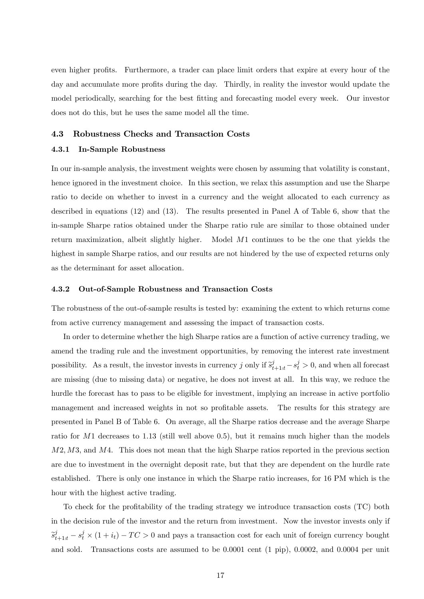even higher profits. Furthermore, a trader can place limit orders that expire at every hour of the day and accumulate more profits during the day. Thirdly, in reality the investor would update the model periodically, searching for the best fitting and forecasting model every week. Our investor does not do this, but he uses the same model all the time.

#### 4.3 Robustness Checks and Transaction Costs

#### 4.3.1 In-Sample Robustness

In our in-sample analysis, the investment weights were chosen by assuming that volatility is constant, hence ignored in the investment choice. In this section, we relax this assumption and use the Sharpe ratio to decide on whether to invest in a currency and the weight allocated to each currency as described in equations (12) and (13). The results presented in Panel A of Table 6, show that the in-sample Sharpe ratios obtained under the Sharpe ratio rule are similar to those obtained under return maximization, albeit slightly higher. Model M1 continues to be the one that yields the highest in sample Sharpe ratios, and our results are not hindered by the use of expected returns only as the determinant for asset allocation.

#### 4.3.2 Out-of-Sample Robustness and Transaction Costs

The robustness of the out-of-sample results is tested by: examining the extent to which returns come from active currency management and assessing the impact of transaction costs.

In order to determine whether the high Sharpe ratios are a function of active currency trading, we amend the trading rule and the investment opportunities, by removing the interest rate investment possibility. As a result, the investor invests in currency j only if  $\tilde{s}_{t+1:t}^j - s_t^j > 0$ , and when all forecast are missing (due to missing data) or negative, he does not invest at all. In this way, we reduce the hurdle the forecast has to pass to be eligible for investment, implying an increase in active portfolio management and increased weights in not so profitable assets. The results for this strategy are presented in Panel B of Table 6. On average, all the Sharpe ratios decrease and the average Sharpe ratio for M1 decreases to 1.13 (still well above 0.5), but it remains much higher than the models  $M2, M3$ , and  $M4$ . This does not mean that the high Sharpe ratios reported in the previous section are due to investment in the overnight deposit rate, but that they are dependent on the hurdle rate established. There is only one instance in which the Sharpe ratio increases, for 16 PM which is the hour with the highest active trading.

To check for the profitability of the trading strategy we introduce transaction costs  $(TC)$  both in the decision rule of the investor and the return from investment. Now the investor invests only if  $\tilde{s}_{t+1|t}^j - s_t^j \times (1 + i_t) - TC > 0$  and pays a transaction cost for each unit of foreign currency bought and sold. Transactions costs are assumed to be 0.0001 cent (1 pip), 0.0002, and 0.0004 per unit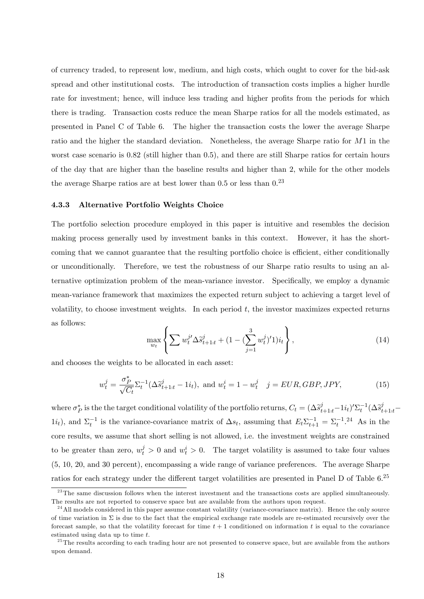of currency traded, to represent low, medium, and high costs, which ought to cover for the bid-ask spread and other institutional costs. The introduction of transaction costs implies a higher hurdle rate for investment; hence, will induce less trading and higher profits from the periods for which there is trading. Transaction costs reduce the mean Sharpe ratios for all the models estimated, as presented in Panel C of Table 6. The higher the transaction costs the lower the average Sharpe ratio and the higher the standard deviation. Nonetheless, the average Sharpe ratio for M1 in the worst case scenario is 0.82 (still higher than 0.5), and there are still Sharpe ratios for certain hours of the day that are higher than the baseline results and higher than 2, while for the other models the average Sharpe ratios are at best lower than  $0.5$  or less than  $0.23$ 

#### 4.3.3 Alternative Portfolio Weights Choice

The portfolio selection procedure employed in this paper is intuitive and resembles the decision making process generally used by investment banks in this context. However, it has the shortcoming that we cannot guarantee that the resulting portfolio choice is efficient, either conditionally or unconditionally. Therefore, we test the robustness of our Sharpe ratio results to using an alternative optimization problem of the mean-variance investor. Specifically, we employ a dynamic mean-variance framework that maximizes the expected return subject to achieving a target level of volatility, to choose investment weights. In each period  $t$ , the investor maximizes expected returns as follows:

$$
\max_{w_t} \left\{ \sum w_t^{j'} \Delta \tilde{s}_{t+1|t}^j + (1 - (\sum_{j=1}^3 w_t^j)')_{it} \right\},\tag{14}
$$

and chooses the weights to be allocated in each asset:

$$
w_t^j = \frac{\sigma_P^*}{\sqrt{C_t}} \Sigma_t^{-1} (\Delta \tilde{s}_{t+1:t}^j - 1i_t), \text{ and } w_t^i = 1 - w_t^j \quad j = EUR, GBP, JPY,
$$
 (15)

where  $\sigma_P^*$  is the the target conditional volatility of the portfolio returns,  $C_t = (\Delta \tilde{s}_{t+1:t}^j - 1_i)_i^i \sum_t^1 (\Delta \tilde{s}_{t+1:t}^j 1i_t$ ), and  $\Sigma_t^{-1}$  is the variance-covariance matrix of  $\Delta s_t$ , assuming that  $E_t \Sigma_{t+1}^{-1} = \Sigma_t^{-1}$ .<sup>24</sup> As in the core results, we assume that short selling is not allowed, i.e. the investment weights are constrained to be greater than zero,  $w_t^j > 0$  and  $w_t^i > 0$ . The target volatility is assumed to take four values (5, 10, 20, and 30 percent), encompassing a wide range of variance preferences. The average Sharpe ratios for each strategy under the different target volatilities are presented in Panel D of Table 6.<sup>25</sup>

 $23$ The same discussion follows when the interest investment and the transactions costs are applied simultaneously. The results are not reported to conserve space but are available from the authors upon request.

 $^{24}$ All models considered in this paper assume constant volatility (variance-covariance matrix). Hence the only source of time variation in  $\Sigma$  is due to the fact that the empirical exchange rate models are re-estimated recursively over the forecast sample, so that the volatility forecast for time  $t + 1$  conditioned on information t is equal to the covariance estimated using data up to time t.

<sup>&</sup>lt;sup>25</sup>The results according to each trading hour are not presented to conserve space, but are available from the authors upon demand.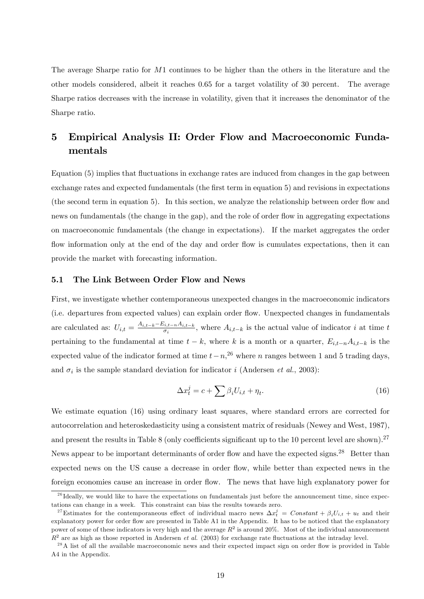The average Sharpe ratio for M1 continues to be higher than the others in the literature and the other models considered, albeit it reaches 0.65 for a target volatility of 30 percent. The average Sharpe ratios decreases with the increase in volatility, given that it increases the denominator of the Sharpe ratio.

## 5 Empirical Analysis II: Order Flow and Macroeconomic Fundamentals

Equation (5) implies that fluctuations in exchange rates are induced from changes in the gap between exchange rates and expected fundamentals (the first term in equation 5) and revisions in expectations (the second term in equation 5). In this section, we analyze the relationship between order flow and news on fundamentals (the change in the gap), and the role of order flow in aggregating expectations on macroeconomic fundamentals (the change in expectations). If the market aggregates the order flow information only at the end of the day and order flow is cumulates expectations, then it can provide the market with forecasting information.

#### 5.1 The Link Between Order Flow and News

First, we investigate whether contemporaneous unexpected changes in the macroeconomic indicators (i.e. departures from expected values) can explain order áow. Unexpected changes in fundamentals are calculated as:  $U_{i,t} = \frac{A_{i,t-k} - E_{i,t-n} A_{i,t-k}}{\sigma_i}$ , where  $A_{i,t-k}$  is the actual value of indicator i at time t pertaining to the fundamental at time  $t - k$ , where k is a month or a quarter,  $E_{i,t-n}A_{i,t-k}$  is the expected value of the indicator formed at time  $t-n$ ,<sup>26</sup> where n ranges between 1 and 5 trading days, and  $\sigma_i$  is the sample standard deviation for indicator i (Andersen et al., 2003):

$$
\Delta x_t^j = c + \sum \beta_i U_{i,t} + \eta_t. \tag{16}
$$

We estimate equation (16) using ordinary least squares, where standard errors are corrected for autocorrelation and heteroskedasticity using a consistent matrix of residuals (Newey and West, 1987), and present the results in Table 8 (only coefficients significant up to the 10 percent level are shown).<sup>27</sup> News appear to be important determinants of order flow and have the expected signs.<sup>28</sup> Better than expected news on the US cause a decrease in order áow, while better than expected news in the foreign economies cause an increase in order flow. The news that have high explanatory power for

 $^{26}$  Ideally, we would like to have the expectations on fundamentals just before the announcement time, since expectations can change in a week. This constraint can bias the results towards zero.

<sup>&</sup>lt;sup>27</sup>Estimates for the contemporaneous effect of individual macro news  $\Delta x_t^j = Constant + \beta_i U_{i,t} + u_t$  and their explanatory power for order flow are presented in Table A1 in the Appendix. It has to be noticed that the explanatory power of some of these indicators is very high and the average  $R^2$  is around 20%. Most of the individual announcement  $R^2$  are as high as those reported in Andersen *et al.* (2003) for exchange rate fluctuations at the intraday level.

 $^{28}$ A list of all the available macroeconomic news and their expected impact sign on order flow is provided in Table A4 in the Appendix.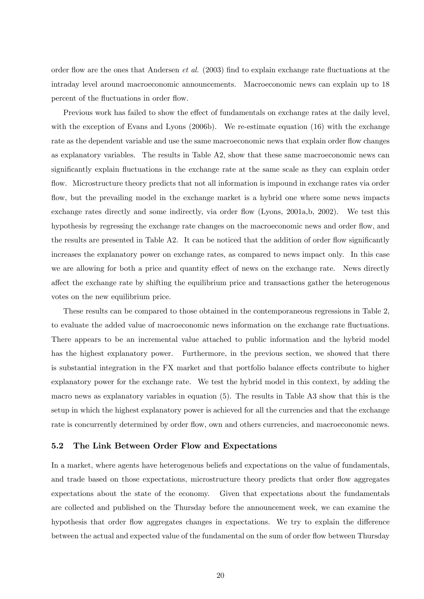order flow are the ones that Andersen *et al.* (2003) find to explain exchange rate fluctuations at the intraday level around macroeconomic announcements. Macroeconomic news can explain up to 18 percent of the fluctuations in order flow.

Previous work has failed to show the effect of fundamentals on exchange rates at the daily level, with the exception of Evans and Lyons (2006b). We re-estimate equation (16) with the exchange rate as the dependent variable and use the same macroeconomic news that explain order flow changes as explanatory variables. The results in Table A2, show that these same macroeconomic news can significantly explain fluctuations in the exchange rate at the same scale as they can explain order flow. Microstructure theory predicts that not all information is impound in exchange rates via order flow, but the prevailing model in the exchange market is a hybrid one where some news impacts exchange rates directly and some indirectly, via order flow (Lyons, 2001a,b, 2002). We test this hypothesis by regressing the exchange rate changes on the macroeconomic news and order flow, and the results are presented in Table  $A2$ . It can be noticed that the addition of order flow significantly increases the explanatory power on exchange rates, as compared to news impact only. In this case we are allowing for both a price and quantity effect of news on the exchange rate. News directly affect the exchange rate by shifting the equilibrium price and transactions gather the heterogenous votes on the new equilibrium price.

These results can be compared to those obtained in the contemporaneous regressions in Table 2, to evaluate the added value of macroeconomic news information on the exchange rate fluctuations. There appears to be an incremental value attached to public information and the hybrid model has the highest explanatory power. Furthermore, in the previous section, we showed that there is substantial integration in the FX market and that portfolio balance effects contribute to higher explanatory power for the exchange rate. We test the hybrid model in this context, by adding the macro news as explanatory variables in equation (5). The results in Table A3 show that this is the setup in which the highest explanatory power is achieved for all the currencies and that the exchange rate is concurrently determined by order flow, own and others currencies, and macroeconomic news.

#### 5.2 The Link Between Order Flow and Expectations

In a market, where agents have heterogenous beliefs and expectations on the value of fundamentals, and trade based on those expectations, microstructure theory predicts that order flow aggregates expectations about the state of the economy. Given that expectations about the fundamentals are collected and published on the Thursday before the announcement week, we can examine the hypothesis that order flow aggregates changes in expectations. We try to explain the difference between the actual and expected value of the fundamental on the sum of order flow between Thursday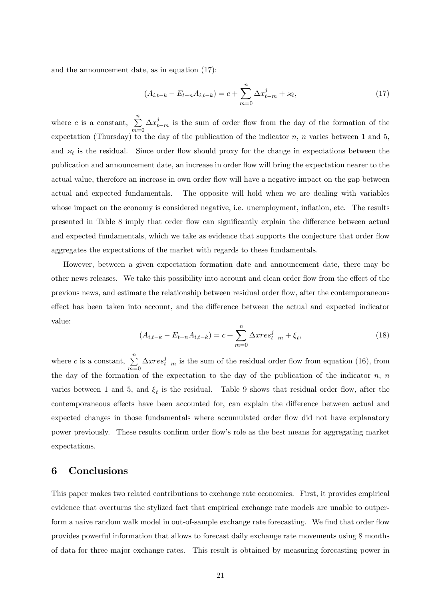and the announcement date, as in equation (17):

$$
(A_{i,t-k} - E_{t-n}A_{i,t-k}) = c + \sum_{m=0}^{n} \Delta x_{t-m}^{j} + \varkappa_{t},
$$
\n(17)

where c is a constant,  $\sum_{n=1}^{\infty}$  $m=0$  $\Delta x_{t-m}^j$  is the sum of order flow from the day of the formation of the expectation (Thursday) to the day of the publication of the indicator  $n$ ,  $n$  varies between 1 and 5, and  $x_t$  is the residual. Since order flow should proxy for the change in expectations between the publication and announcement date, an increase in order áow will bring the expectation nearer to the actual value, therefore an increase in own order flow will have a negative impact on the gap between actual and expected fundamentals. The opposite will hold when we are dealing with variables whose impact on the economy is considered negative, i.e. unemployment, inflation, etc. The results presented in Table 8 imply that order flow can significantly explain the difference between actual and expected fundamentals, which we take as evidence that supports the conjecture that order flow aggregates the expectations of the market with regards to these fundamentals.

However, between a given expectation formation date and announcement date, there may be other news releases. We take this possibility into account and clean order flow from the effect of the previous news, and estimate the relationship between residual order áow, after the contemporaneous effect has been taken into account, and the difference between the actual and expected indicator value:

$$
(A_{i,t-k} - E_{t-n}A_{i,t-k}) = c + \sum_{m=0}^{n} \Delta x r e s_{t-m}^{j} + \xi_{t},
$$
\n(18)

where c is a constant,  $\sum_{n=1}^{\infty}$  $m=0$  $\Delta xres_{t-m}^{j}$  is the sum of the residual order flow from equation (16), from the day of the formation of the expectation to the day of the publication of the indicator  $n, n$ varies between 1 and 5, and  $\xi_t$  is the residual. Table 9 shows that residual order flow, after the contemporaneous effects have been accounted for, can explain the difference between actual and expected changes in those fundamentals where accumulated order flow did not have explanatory power previously. These results confirm order flow's role as the best means for aggregating market expectations.

### 6 Conclusions

This paper makes two related contributions to exchange rate economics. First, it provides empirical evidence that overturns the stylized fact that empirical exchange rate models are unable to outperform a naive random walk model in out-of-sample exchange rate forecasting. We find that order flow provides powerful information that allows to forecast daily exchange rate movements using 8 months of data for three major exchange rates. This result is obtained by measuring forecasting power in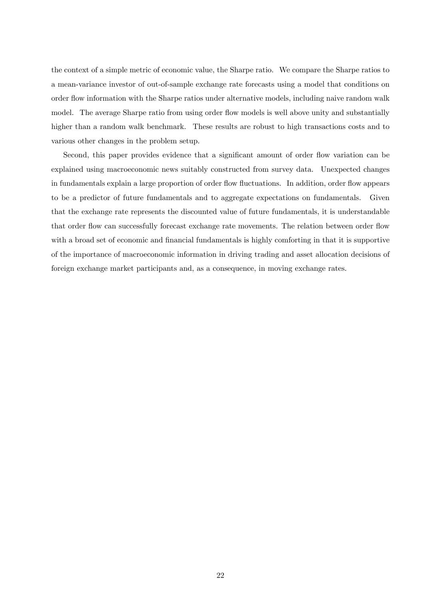the context of a simple metric of economic value, the Sharpe ratio. We compare the Sharpe ratios to a mean-variance investor of out-of-sample exchange rate forecasts using a model that conditions on order áow information with the Sharpe ratios under alternative models, including naive random walk model. The average Sharpe ratio from using order flow models is well above unity and substantially higher than a random walk benchmark. These results are robust to high transactions costs and to various other changes in the problem setup.

Second, this paper provides evidence that a significant amount of order flow variation can be explained using macroeconomic news suitably constructed from survey data. Unexpected changes in fundamentals explain a large proportion of order flow fluctuations. In addition, order flow appears to be a predictor of future fundamentals and to aggregate expectations on fundamentals. Given that the exchange rate represents the discounted value of future fundamentals, it is understandable that order flow can successfully forecast exchange rate movements. The relation between order flow with a broad set of economic and financial fundamentals is highly comforting in that it is supportive of the importance of macroeconomic information in driving trading and asset allocation decisions of foreign exchange market participants and, as a consequence, in moving exchange rates.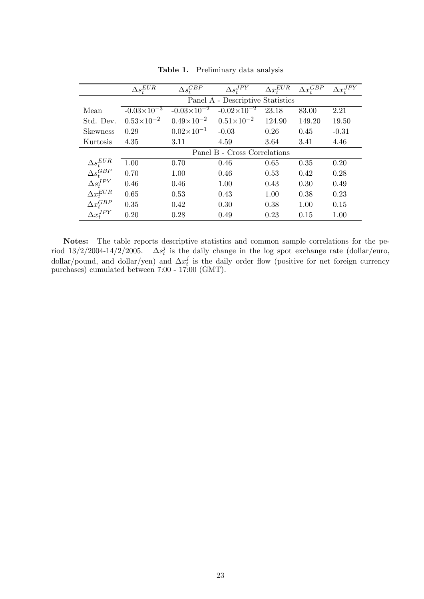|                    | $\Delta s_t^{EUR}$   | $\Delta s_t^{GBP}$   | $\Delta s_t^{\overline{J} \overline{P} \overline{Y}}$ | $\Delta x_t^{EUR}$ | $\Delta x_t^{GBP}$ | $\Delta x_t^{\overline{J} \overline{P} \overline{Y}}$ |
|--------------------|----------------------|----------------------|-------------------------------------------------------|--------------------|--------------------|-------------------------------------------------------|
|                    |                      |                      | Panel A - Descriptive Statistics                      |                    |                    |                                                       |
| Mean               | $-0.03\times10^{-3}$ | $-0.03\times10^{-2}$ | $-0.02\times10^{-2}$                                  | 23.18              | 83.00              | 2.21                                                  |
| Std. Dev.          | $0.53\times10^{-2}$  | $0.49\times10^{-2}$  | $0.51\times10^{-2}$                                   | 124.90             | 149.20             | 19.50                                                 |
| <b>Skewness</b>    | 0.29                 | $0.02\times10^{-1}$  | $-0.03$                                               | 0.26               | 0.45               | $-0.31$                                               |
| Kurtosis           | 4.35                 | 3.11                 | 4.59                                                  | 3.64               | 3.41               | 4.46                                                  |
|                    |                      |                      | Panel B - Cross Correlations                          |                    |                    |                                                       |
| $\Delta s_t^{EUR}$ | 1.00                 | 0.70                 | 0.46                                                  | 0.65               | 0.35               | 0.20                                                  |
| $\Delta s_t^{GBP}$ | 0.70                 | 1.00                 | 0.46                                                  | 0.53               | 0.42               | 0.28                                                  |
| $\Delta s_t^{JPY}$ | 0.46                 | 0.46                 | 1.00                                                  | 0.43               | 0.30               | 0.49                                                  |
| $\Delta x_t^{EUR}$ | 0.65                 | 0.53                 | 0.43                                                  | 1.00               | 0.38               | 0.23                                                  |
| $\Delta x_t^{GBP}$ | 0.35                 | 0.42                 | 0.30                                                  | 0.38               | 1.00               | 0.15                                                  |
| $\Delta x_t^{JPY}$ | 0.20                 | 0.28                 | 0.49                                                  | 0.23               | 0.15               | 1.00                                                  |
|                    |                      |                      |                                                       |                    |                    |                                                       |

Table 1. Preliminary data analysis

Notes: The table reports descriptive statistics and common sample correlations for the period  $13/2/2004 - 14/2/2005$ .  $\Delta s_t^j$  $t<sub>t</sub><sup>j</sup>$  is the daily change in the log spot exchange rate (dollar/euro, dollar/pound, and dollar/yen) and  $\Delta x_t^j$  $t<sub>t</sub>$  is the daily order flow (positive for net foreign currency purchases) cumulated between 7:00 - 17:00 (GMT).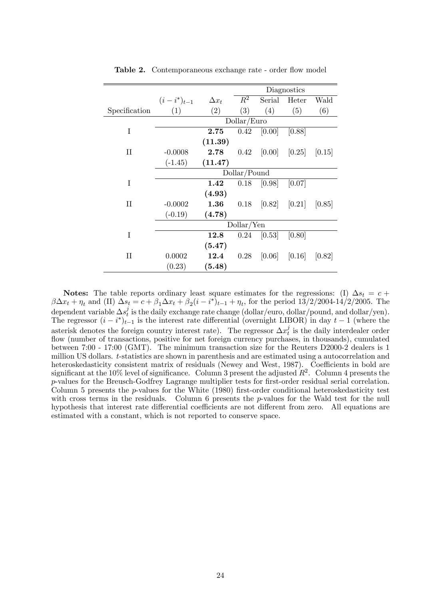|               |                   |              | Diagnostics  |        |                   |        |
|---------------|-------------------|--------------|--------------|--------|-------------------|--------|
|               | $(i - i^*)_{t-1}$ | $\Delta x_t$ | $R^2$        | Serial | Heter             | Wald   |
| Specification | (1)               | (2)          | (3)          | (4)    | (5)               | (6)    |
|               |                   |              | Dollar/Euro  |        |                   |        |
| I             |                   | 2.75         | 0.42         | [0.00] | [0.88]            |        |
|               |                   | (11.39)      |              |        |                   |        |
| $\rm II$      | $-0.0008$         | $2.78\,$     | 0.42         |        | $[0.00]$ $[0.25]$ | [0.15] |
|               | $(-1.45)$         | (11.47)      |              |        |                   |        |
|               |                   |              | Dollar/Pound |        |                   |        |
| I             |                   | 1.42         | 0.18         | [0.98] | [0.07]            |        |
|               |                   | (4.93)       |              |        |                   |        |
| $\rm II$      | $-0.0002$         | $1.36\,$     | 0.18         |        | $[0.82]$ $[0.21]$ | [0.85] |
|               | $(-0.19)$         | (4.78)       |              |        |                   |        |
|               |                   |              | Dollar/Yen   |        |                   |        |
| I             |                   | <b>12.8</b>  | 0.24         | [0.53] | [0.80]            |        |
|               |                   | (5.47)       |              |        |                   |        |
| $\rm II$      | 0.0002            | 12.4         | 0.28         |        | $[0.06]$ $[0.16]$ | [0.82] |
|               | (0.23)            | (5.48)       |              |        |                   |        |

Table 2. Contemporaneous exchange rate - order flow model

**Notes:** The table reports ordinary least square estimates for the regressions: (I)  $\Delta s_t = c +$  $\beta \Delta x_t + \eta_t$  and (II)  $\Delta s_t = c + \beta_1 \Delta x_t + \beta_2 (i - i^*)_{t-1} + \eta_t$ , for the period 13/2/2004-14/2/2005. The dependent variable  $\Delta s_t^j$  $\frac{d}{dt}$  is the daily exchange rate change (dollar/euro, dollar/pound, and dollar/yen). The regressor  $(i - i^*)_{t-1}$  is the interest rate differential (overnight LIBOR) in day  $t - 1$  (where the asterisk denotes the foreign country interest rate). The regressor  $\Delta x_t^j$  $t<sub>t</sub><sup>j</sup>$  is the daily interdealer order flow (number of transactions, positive for net foreign currency purchases, in thousands), cumulated between 7:00 - 17:00 (GMT). The minimum transaction size for the Reuters D2000-2 dealers is 1 million US dollars. t-statistics are shown in parenthesis and are estimated using a autocorrelation and heteroskedasticity consistent matrix of residuals (Newey and West, 1987). Coefficients in bold are significant at the 10% level of significance. Column 3 present the adjusted  $R^2$ . Column 4 presents the p-values for the Breusch-Godfrey Lagrange multiplier tests for first-order residual serial correlation. Column 5 presents the  $p$ -values for the White (1980) first-order conditional heteroskedasticity test with cross terms in the residuals. Column 6 presents the p-values for the Wald test for the null hypothesis that interest rate differential coefficients are not different from zero. All equations are estimated with a constant, which is not reported to conserve space.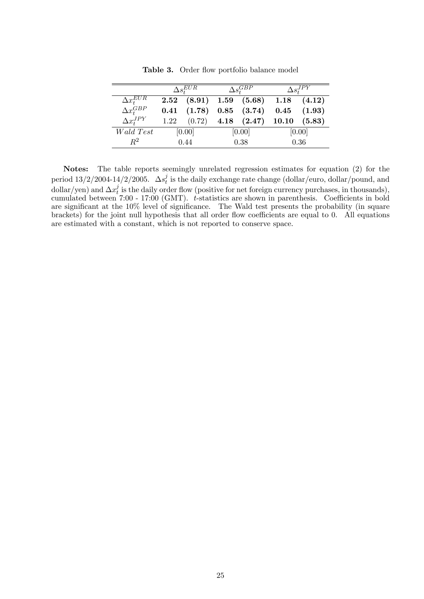|                                 | $\Delta s_{*}^{EUR}$ |                                 | $\Delta s^{GBP^-}$ |                   | $\Delta s^{J P \bar{Y}}_{*}$ |                 |
|---------------------------------|----------------------|---------------------------------|--------------------|-------------------|------------------------------|-----------------|
| $\Delta x_1^{E U \overline{R}}$ |                      | $2.52$ $(8.91)$ $1.59$ $(5.68)$ |                    |                   | 1.18                         | (4.12)          |
| $\Delta x_i^{GBP}$              | 0.41                 | (1.78)                          |                    | $0.85$ $(3.74)$   |                              | $0.45$ $(1.93)$ |
| $\Delta x_t^{JPY}$              | 1.22                 | (0.72)                          |                    | $4.18\quad(2.47)$ | 10.10                        | (5.83)          |
| $Wald \; Test$                  |                      | [0.00]                          |                    | [0.00]            |                              | [0.00]          |
| $\,R^2$                         | 0.44                 |                                 | 0.38               |                   | 0.36                         |                 |

Table 3. Order flow portfolio balance model

Notes: The table reports seemingly unrelated regression estimates for equation (2) for the period  $13/2/2004 - 14/2/2005$ .  $\Delta s_t^j$  $\frac{d}{dt}$  is the daily exchange rate change (dollar/euro, dollar/pound, and dollar/yen) and  $\Delta x_t^j$  $t<sub>t</sub>$  is the daily order flow (positive for net foreign currency purchases, in thousands), cumulated between 7:00 - 17:00 (GMT).  $t$ -statistics are shown in parenthesis. Coefficients in bold are significant at the 10% level of significance. The Wald test presents the probability (in square brackets) for the joint null hypothesis that all order flow coefficients are equal to 0. All equations are estimated with a constant, which is not reported to conserve space.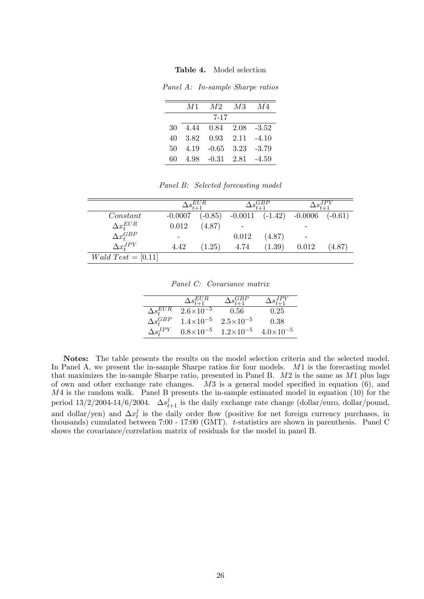Table 4. Model selection

Panel A: In-sample Sharpe ratios

|    | M1   | M2       | M3   | M4      |
|----|------|----------|------|---------|
|    |      | $7 - 17$ |      |         |
| 30 | 4.44 | 0.84     | 2.08 | $-3.52$ |
| 40 | 3.82 | 0.93     | 2.11 | $-4.10$ |
| 50 | 4.19 | -0.65    | 3.23 | $-3.79$ |
| 60 | 4.98 | $-0.31$  | 2.81 | $-4.59$ |

Panel B: Selected forecasting model

|                             |                 | $\Delta s_{t+1}^{\overline{EUR}}$ | $\Delta\overline{s_{t+1}^{GBP}}$ |           |           |           |
|-----------------------------|-----------------|-----------------------------------|----------------------------------|-----------|-----------|-----------|
| Constant                    | $-0.0007$       | $(-0.85)$                         | $-0.0011$                        | $(-1.42)$ | $-0.0006$ | $(-0.61)$ |
| $\Delta x_t^{EUR}$          | 0.012           | (4.87)                            |                                  |           |           |           |
| $\Delta x_t^{GBP}$          | $\qquad \qquad$ |                                   | 0.012                            | (4.87)    |           |           |
| $\Delta x_{t}^{JPY}$        | 4.42            | (1.25)                            | 4.74                             | (1.39)    | 0.012     | (4.87)    |
| <i>Wald</i> $Test = [0.11]$ |                 |                                   |                                  |           |           |           |

Panel C: Covariance matrix

|                                 | $\Delta s_{t+1}^{EUR}$ | $\Delta \overline{s_{t+1}^{GBP}}$ | $\Delta s^{J\bar{PY}}_*$ |
|---------------------------------|------------------------|-----------------------------------|--------------------------|
| $\Delta s_t^{E U \overline{R}}$ | $2.6\times10^{-5}$     | 0.56                              | 0.25                     |
| $\Delta s_{t}^{GBP}$            | $1.4\times10^{-5}$     | $2.5 \times 10^{-5}$              | 0.38                     |
| $\Delta s^{JPY}_{*}$            | $0.8\times10^{-5}$     | $1.2\times10^{-5}$                | $4.0\times10^{-5}$       |

Notes: The table presents the results on the model selection criteria and the selected model. In Panel A, we present the in-sample Sharpe ratios for four models. M1 is the forecasting model that maximizes the in-sample Sharpe ratio, presented in Panel B.  $M2$  is the same as  $M1$  plus lags of own and other exchange rate changes.  $M3$  is a general model specified in equation (6), and  $M4$  is the random walk. Panel B presents the in-sample estimated model in equation (10) for the period  $13/2/2004$ -14/6/2004.  $\Delta s_{t+1}^j$  is the daily exchange rate change (dollar/euro, dollar/pound, and dollar/yen) and  $\Delta x_t^j$  $t<sub>t</sub>$  is the daily order flow (positive for net foreign currency purchases, in thousands) cumulated between 7:00 - 17:00 (GMT). t-statistics are shown in parenthesis. Panel C shows the covariance/correlation matrix of residuals for the model in panel B.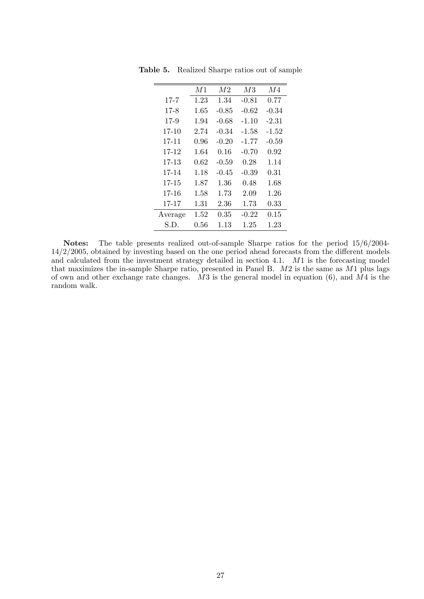|           | M1   | M <sub>2</sub> | M3      | M4      |
|-----------|------|----------------|---------|---------|
| $17 - 7$  | 1.23 | 1.34           | $-0.81$ | 0.77    |
| $17 - 8$  | 1.65 | $-0.85$        | $-0.62$ | $-0.34$ |
| $17-9$    | 1.94 | -0.68          | $-1.10$ | -2.31   |
| $17-10$   | 2.74 | $-0.34$        | -1.58   | $-1.52$ |
| 17-11     | 0.96 | $-0.20$        | $-1.77$ | $-0.59$ |
| 17-12     | 1.64 | 0.16           | $-0.70$ | 0.92    |
| 17-13     | 0.62 | $-0.59$        | 0.28    | 1.14    |
| 17-14     | 1.18 | $-0.45$        | $-0.39$ | 0.31    |
| 17-15     | 1.87 | 1.36           | 0.48    | 1.68    |
| 17-16     | 1.58 | 1.73           | 2.09    | 1.26    |
| $17 - 17$ | 1.31 | 2.36           | 1.73    | 0.33    |
| Average   | 1.52 | 0.35           | $-0.22$ | 0.15    |
| S.D.      | 0.56 | 1.13           | 1.25    | 1.23    |

Table 5. Realized Sharpe ratios out of sample

Notes: The table presents realized out-of-sample Sharpe ratios for the period 15/6/2004-  $14/2/2005$ , obtained by investing based on the one period ahead forecasts from the different models and calculated from the investment strategy detailed in section 4.1. M1 is the forecasting model that maximizes the in-sample Sharpe ratio, presented in Panel B.  $M2$  is the same as  $M1$  plus lags of own and other exchange rate changes.  $M3$  is the general model in equation (6), and  $M4$  is the random walk.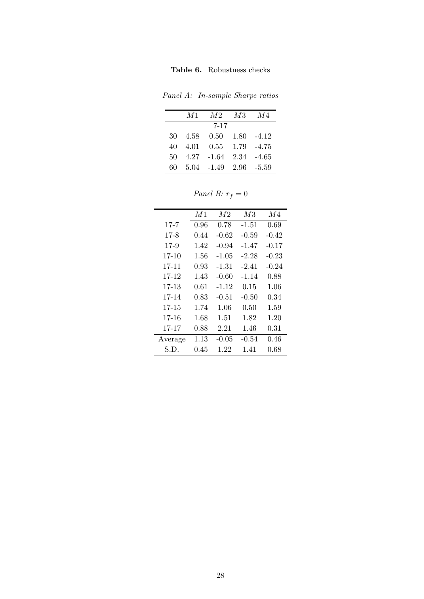Panel A: In-sample Sharpe ratios

|    | M1   | M2      | M3   | M4      |
|----|------|---------|------|---------|
|    |      | 7-17    |      |         |
| 30 | 4.58 | 0.50    | 1.80 | $-4.12$ |
| 40 | 4.01 | 0.55    | 1.79 | $-4.75$ |
| 50 | 4.27 | -1.64   | 2.34 | $-4.65$ |
| 60 | 5.04 | $-1.49$ | 2.96 | $-5.59$ |

Panel B:  $r_f = 0$ 

|           | M1   | M <sup>2</sup> | M <sub>3</sub> | M4      |
|-----------|------|----------------|----------------|---------|
| $17 - 7$  | 0.96 | 0.78           | -1.51          | 0.69    |
| $17-8$    | 0.44 | $-0.62$        | $-0.59$        | $-0.42$ |
| $17-9$    | 1.42 | $-0.94$        | $-1.47$        | $-0.17$ |
| 17-10     | 1.56 | $-1.05$        | $-2.28$        | $-0.23$ |
| 17-11     | 0.93 | $-1.31$        | $-2.41$        | $-0.24$ |
| 17-12     | 1.43 | $-0.60$        | -1.14          | 0.88    |
| 17-13     | 0.61 | -1.12          | 0.15           | 1.06    |
| $17 - 14$ | 0.83 | $-0.51$        | $-0.50$        | 0.34    |
| $17 - 15$ | 1.74 | 1.06           | 0.50           | 1.59    |
| $17 - 16$ | 1.68 | 1.51           | 1.82           | 1.20    |
| $17 - 17$ | 0.88 | 2.21           | 1.46           | 0.31    |
| Average   | 1.13 | $-0.05$        | $-0.54$        | 0.46    |
| S.D.      | 0.45 | 1.22           | 1.41           | 0.68    |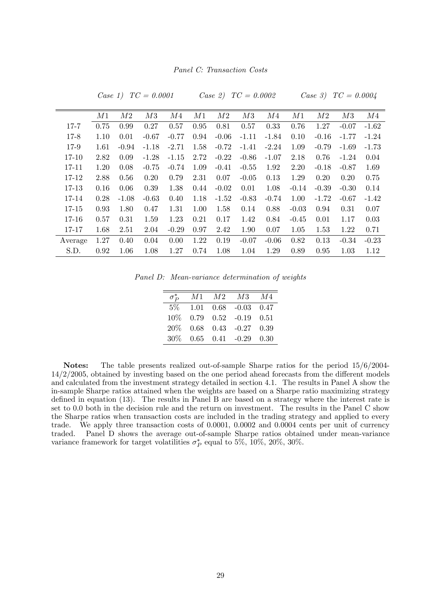Panel C: Transaction Costs

|           | M1   | $\mathcal{M}2$ | M3      | M4      | M1   | M2      | M3      | M4      | M1      | M2      | M3      | M4      |
|-----------|------|----------------|---------|---------|------|---------|---------|---------|---------|---------|---------|---------|
| $17 - 7$  | 0.75 | 0.99           | 0.27    | 0.57    | 0.95 | 0.81    | 0.57    | 0.33    | 0.76    | 1.27    | $-0.07$ | $-1.62$ |
| $17 - 8$  | 1.10 | 0.01           | $-0.67$ | $-0.77$ | 0.94 | $-0.06$ | $-1.11$ | $-1.84$ | 0.10    | $-0.16$ | $-1.77$ | $-1.24$ |
| 17-9      | 1.61 | $-0.94$        | $-1.18$ | $-2.71$ | 1.58 | $-0.72$ | $-1.41$ | $-2.24$ | 1.09    | $-0.79$ | $-1.69$ | $-1.73$ |
| $17 - 10$ | 2.82 | 0.09           | $-1.28$ | $-1.15$ | 2.72 | $-0.22$ | $-0.86$ | $-1.07$ | 2.18    | 0.76    | $-1.24$ | 0.04    |
| 17-11     | 1.20 | 0.08           | $-0.75$ | $-0.74$ | 1.09 | $-0.41$ | $-0.55$ | 1.92    | 2.20    | $-0.18$ | $-0.87$ | 1.69    |
| 17-12     | 2.88 | 0.56           | 0.20    | 0.79    | 2.31 | 0.07    | $-0.05$ | 0.13    | 1.29    | 0.20    | 0.20    | 0.75    |
| 17-13     | 0.16 | 0.06           | 0.39    | 1.38    | 0.44 | $-0.02$ | 0.01    | 1.08    | $-0.14$ | $-0.39$ | $-0.30$ | 0.14    |
| 17-14     | 0.28 | $-1.08$        | $-0.63$ | 0.40    | 1.18 | $-1.52$ | $-0.83$ | $-0.74$ | 1.00    | $-1.72$ | $-0.67$ | $-1.42$ |
| 17-15     | 0.93 | 1.80           | 0.47    | 1.31    | 1.00 | 1.58    | 0.14    | 0.88    | $-0.03$ | 0.94    | 0.31    | 0.07    |
| $17 - 16$ | 0.57 | 0.31           | 1.59    | 1.23    | 0.21 | 0.17    | 1.42    | 0.84    | $-0.45$ | 0.01    | 1.17    | 0.03    |
| 17-17     | 1.68 | 2.51           | 2.04    | $-0.29$ | 0.97 | 2.42    | 1.90    | 0.07    | 1.05    | 1.53    | 1.22    | 0.71    |
| Average   | 1.27 | 0.40           | 0.04    | 0.00    | 1.22 | 0.19    | $-0.07$ | $-0.06$ | 0.82    | 0.13    | $-0.34$ | $-0.23$ |
| S.D.      | 0.92 | 1.06           | 1.08    | 1.27    | 0.74 | 1.08    | 1.04    | 1.29    | 0.89    | 0.95    | 1.03    | 1.12    |

 $Case 1)$   $TC = 0.0001$   $Case 2)$   $TC = 0.0002$ 

| Case 31 | TC | 0.0004 |
|---------|----|--------|
|         |    |        |

Panel D: Mean-variance determination of weights

| $\sigma_P^*$ |  | $M1$ $M2$ $M3$                           | M4    |
|--------------|--|------------------------------------------|-------|
| $5\%$        |  | $1.01 \quad 0.68 \quad -0.03 \quad 0.47$ |       |
| $10\%$       |  | $0.79$ $0.52$ $-0.19$ $0.51$             |       |
| $20\%$       |  | $0.68$ $0.43$ $-0.27$ $0.39$             |       |
| 30%          |  | $0.65$ $0.41$ $-0.29$                    | -0.30 |

Notes: The table presents realized out-of-sample Sharpe ratios for the period 15/6/2004-  $14/2/2005$ , obtained by investing based on the one period ahead forecasts from the different models and calculated from the investment strategy detailed in section 4.1. The results in Panel A show the in-sample Sharpe ratios attained when the weights are based on a Sharpe ratio maximizing strategy defined in equation (13). The results in Panel B are based on a strategy where the interest rate is set to 0.0 both in the decision rule and the return on investment. The results in the Panel C show the Sharpe ratios when transaction costs are included in the trading strategy and applied to every trade. We apply three transaction costs of 0.0001, 0.0002 and 0.0004 cents per unit of currency traded. Panel D shows the average out-of-sample Sharpe ratios obtained under mean-variance variance framework for target volatilities  $\sigma_P^*$  equal to 5%, 10%, 20%, 30%.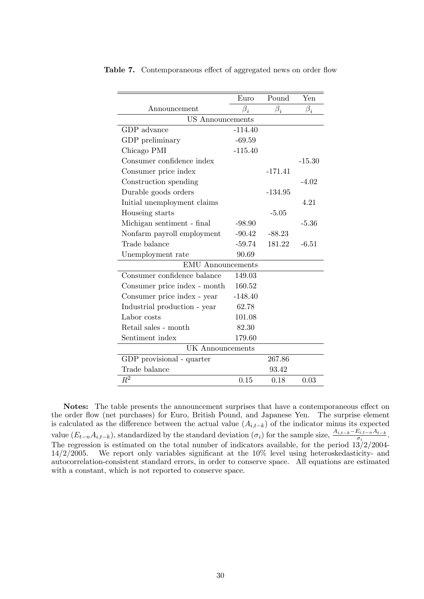|                              | Euro      | Pound     | Yen       |
|------------------------------|-----------|-----------|-----------|
| $\rm An nouncement$          | $\beta_i$ | $\beta_i$ | $\beta_i$ |
| <b>US</b> Announcements      |           |           |           |
| GDP advance                  | $-114.40$ |           |           |
| GDP preliminary              | $-69.59$  |           |           |
| Chicago PMI                  | $-115.40$ |           |           |
| Consumer confidence index    |           |           | $-15.30$  |
| Consumer price index         |           | $-171.41$ |           |
| Construction spending        |           |           | $-4.02$   |
| Durable goods orders         |           | $-134.95$ |           |
| Initial unemployment claims  |           |           | 4.21      |
| Houseing starts              |           | $-5.05$   |           |
| Michigan sentiment - final   | $-98.90$  |           | $-5.36$   |
| Nonfarm payroll employment   | $-90.42$  | $-88.23$  |           |
| Trade balance                | $-59.74$  | 181.22    | $-6.51$   |
| Unemployment rate            | 90.69     |           |           |
| <b>EMU</b> Announcements     |           |           |           |
| Consumer confidence balance  | 149.03    |           |           |
| Consumer price index - month | 160.52    |           |           |
| Consumer price index - year  | $-148.40$ |           |           |
| Industrial production - year | 62.78     |           |           |
| Labor costs                  | 101.08    |           |           |
| Retail sales - month         | 82.30     |           |           |
| Sentiment index              | 179.60    |           |           |
| <b>UK</b> Announcements      |           |           |           |
| GDP provisional - quarter    |           | 267.86    |           |
| Trade balance                |           | 93.42     |           |
| $\overline{R^2}$             | 0.15      | 0.18      | 0.03      |

Table 7. Contemporaneous effect of aggregated news on order flow

Notes: The table presents the announcement surprises that have a contemporaneous effect on the order flow (net purchases) for Euro, British Pound, and Japanese Yen. The surprise element is calculated as the difference between the actual value  $(A_{i,t-k})$  of the indicator minus its expected value  $(E_{t-n}A_{i,t-k})$ , standardized by the standard deviation  $(\sigma_i)$  for the sample size,  $\frac{A_{i,t-k}-E_{i,t-n}A_{t-k}}{\sigma_i}$ . The regression is estimated on the total number of indicators available, for the period  $13/2/2004$ - $14/2/2005$ . We report only variables significant at the  $10\%$  level using heteroskedasticity- and autocorrelation-consistent standard errors, in order to conserve space. All equations are estimated with a constant, which is not reported to conserve space.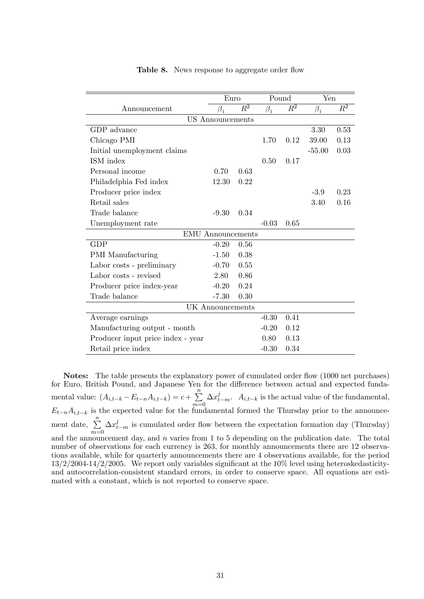|                                   | Euro                     |       | Pound     |                  | Yen       |                  |
|-----------------------------------|--------------------------|-------|-----------|------------------|-----------|------------------|
| Announcement                      | $\beta_i$                | $R^2$ | $\beta_i$ | $\overline{R^2}$ | $\beta_i$ | $\overline{R^2}$ |
|                                   | <b>US</b> Announcements  |       |           |                  |           |                  |
| GDP advance                       |                          |       |           |                  | 3.30      | 0.53             |
| Chicago PMI                       |                          |       | 1.70      | 0.12             | 39.00     | 0.13             |
| Initial unemployment claims       |                          |       |           |                  | $-55.00$  | 0.03             |
| ISM index                         |                          |       | 0.50      | 0.17             |           |                  |
| Personal income                   | 0.70                     | 0.63  |           |                  |           |                  |
| Philadelphia Fed index            | 12.30                    | 0.22  |           |                  |           |                  |
| Producer price index              |                          |       |           |                  | $-3.9$    | 0.23             |
| Retail sales                      |                          |       |           |                  | 3.40      | 0.16             |
| Trade balance                     | $-9.30$                  | 0.34  |           |                  |           |                  |
| Unemployment rate                 |                          |       | $-0.03$   | 0.65             |           |                  |
|                                   | <b>EMU</b> Announcements |       |           |                  |           |                  |
| GDP                               | $-0.20$                  | 0.56  |           |                  |           |                  |
| <b>PMI</b> Manufacturing          | $-1.50$                  | 0.38  |           |                  |           |                  |
| Labor costs - preliminary         | $-0.70$                  | 0.55  |           |                  |           |                  |
| Labor costs - revised             | 2.80                     | 0.86  |           |                  |           |                  |
| Producer price index-year         | $-0.20$                  | 0.24  |           |                  |           |                  |
| Trade balance                     | $-7.30$                  | 0.30  |           |                  |           |                  |
| <b>UK</b> Announcements           |                          |       |           |                  |           |                  |
| Average earnings                  |                          |       | $-0.30$   | 0.41             |           |                  |
| Manufacturing output - month      |                          |       | $-0.20$   | 0.12             |           |                  |
| Producer input price index - year |                          |       | 0.80      | 0.13             |           |                  |
| Retail price index                |                          |       | $-0.30$   | 0.34             |           |                  |

#### Table 8. News response to aggregate order flow

Notes: The table presents the explanatory power of cumulated order flow (1000 net purchases) for Euro, British Pound, and Japanese Yen for the difference between actual and expected fundamental value:  $(A_{i,t-k} - E_{t-n}A_{i,t-k}) = c + \sum_{k=1}^{n}$  $m=0$  $\Delta x_{t-m}^j$ .  $A_{i,t-k}$  is the actual value of the fundamental,  $E_{t-n}A_{i,t-k}$  is the expected value for the fundamental formed the Thursday prior to the announcement date,  $\sum_{n=1}^{\infty}$  $m=0$  $\Delta x_{t-m}^j$  is cumulated order flow between the expectation formation day (Thursday) and the announcement day, and  $n$  varies from 1 to 5 depending on the publication date. The total number of observations for each currency is 263, for monthly announcements there are 12 observations available, while for quarterly announcements there are 4 observations available, for the period  $13/2/2004-14/2/2005$ . We report only variables significant at the  $10\%$  level using heteroskedasticityand autocorrelation-consistent standard errors, in order to conserve space. All equations are estimated with a constant, which is not reported to conserve space.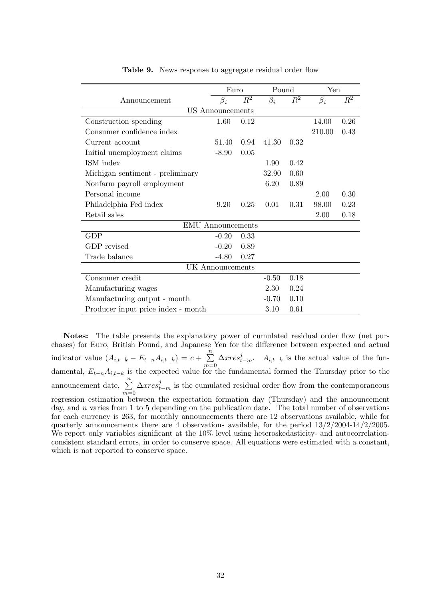|                                    | Euro             |         | Pound     |       | Yen       |                |
|------------------------------------|------------------|---------|-----------|-------|-----------|----------------|
| Announcement                       | $\beta_i$        | $\,R^2$ | $\beta_i$ | $R^2$ | $\beta_i$ | $\mathbb{R}^2$ |
|                                    | US Announcements |         |           |       |           |                |
| Construction spending              | 1.60             | 0.12    |           |       | 14.00     | 0.26           |
| Consumer confidence index          |                  |         |           |       | 210.00    | 0.43           |
| Current account                    | 51.40            | 0.94    | 41.30     | 0.32  |           |                |
| Initial unemployment claims        | $-8.90$          | 0.05    |           |       |           |                |
| ISM index                          |                  |         | 1.90      | 0.42  |           |                |
| Michigan sentiment - preliminary   |                  |         | 32.90     | 0.60  |           |                |
| Nonfarm payroll employment         |                  |         | 6.20      | 0.89  |           |                |
| Personal income                    |                  |         |           |       | 2.00      | 0.30           |
| Philadelphia Fed index             | 9.20             | 0.25    | 0.01      | 0.31  | 98.00     | 0.23           |
| Retail sales                       |                  |         |           |       | 2.00      | 0.18           |
| <b>EMU</b> Announcements           |                  |         |           |       |           |                |
| <b>GDP</b>                         | $-0.20$          | 0.33    |           |       |           |                |
| GDP revised                        | $-0.20$          | 0.89    |           |       |           |                |
| Trade balance                      | $-4.80$          | 0.27    |           |       |           |                |
| UK Announcements                   |                  |         |           |       |           |                |
| Consumer credit                    |                  |         | $-0.50$   | 0.18  |           |                |
| Manufacturing wages                |                  |         | 2.30      | 0.24  |           |                |
| Manufacturing output - month       |                  |         | $-0.70$   | 0.10  |           |                |
| Producer input price index - month |                  |         | 3.10      | 0.61  |           |                |

Table 9. News response to aggregate residual order flow

Notes: The table presents the explanatory power of cumulated residual order flow (net purchases) for Euro, British Pound, and Japanese Yen for the difference between expected and actual indicator value  $(A_{i,t-k} - E_{t-n}A_{i,t-k}) = c + \sum_{k=1}^{n}$  $m=0$  $\Delta xres_{t-m}^j$ .  $A_{i,t-k}$  is the actual value of the fundamental,  $E_{t-n}A_{i,t-k}$  is the expected value for the fundamental formed the Thursday prior to the announcement date,  $\sum_{n=1}^{\infty}$  $m=0$  $\Delta xres_{t-m}^j$  is the cumulated residual order flow from the contemporaneous regression estimation between the expectation formation day (Thursday) and the announcement day, and  $n$  varies from 1 to 5 depending on the publication date. The total number of observations for each currency is 263, for monthly announcements there are 12 observations available, while for quarterly announcements there are 4 observations available, for the period  $13/2/2004-14/2/2005$ . We report only variables significant at the  $10\%$  level using heteroskedasticity- and autocorrelationconsistent standard errors, in order to conserve space. All equations were estimated with a constant, which is not reported to conserve space.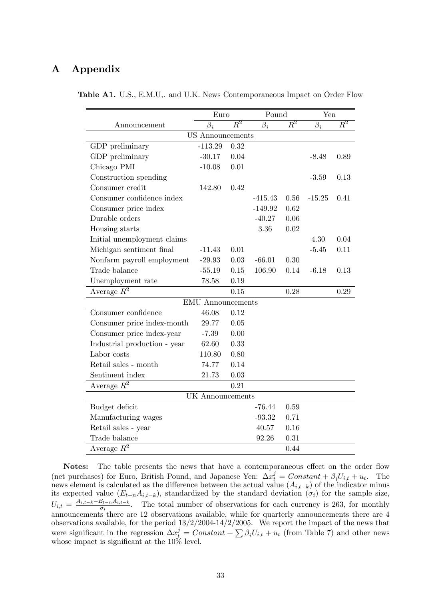## A Appendix

|                              | Euro                     |                  | Pound     |                  | Yen       |                  |
|------------------------------|--------------------------|------------------|-----------|------------------|-----------|------------------|
| Announcement                 | $\beta_i$                | $\overline{R^2}$ | $\beta_i$ | $\overline{R^2}$ | $\beta_i$ | $\overline{R^2}$ |
|                              | <b>US</b> Announcements  |                  |           |                  |           |                  |
| GDP preliminary              | $-113.29$                | 0.32             |           |                  |           |                  |
| GDP preliminary              | $-30.17$                 | 0.04             |           |                  | $-8.48$   | 0.89             |
| Chicago PMI                  | $-10.08$                 | 0.01             |           |                  |           |                  |
| Construction spending        |                          |                  |           |                  | $-3.59$   | 0.13             |
| Consumer credit              | 142.80                   | 0.42             |           |                  |           |                  |
| Consumer confidence index    |                          |                  | $-415.43$ | 0.56             | $-15.25$  | 0.41             |
| Consumer price index         |                          |                  | $-149.92$ | 0.62             |           |                  |
| Durable orders               |                          |                  | $-40.27$  | 0.06             |           |                  |
| Housing starts               |                          |                  | 3.36      | 0.02             |           |                  |
| Initial unemployment claims  |                          |                  |           |                  | 4.30      | 0.04             |
| Michigan sentiment final     | $-11.43$                 | 0.01             |           |                  | $-5.45$   | 0.11             |
| Nonfarm payroll employment   | $-29.93$                 | 0.03             | $-66.01$  | 0.30             |           |                  |
| Trade balance                | $-55.19$                 | 0.15             | 106.90    | 0.14             | $-6.18$   | 0.13             |
| Unemployment rate            | 78.58                    | 0.19             |           |                  |           |                  |
| Average $R^2$                |                          | 0.15             |           | 0.28             |           | 0.29             |
|                              | <b>EMU</b> Announcements |                  |           |                  |           |                  |
| Consumer confidence          | 46.08                    | 0.12             |           |                  |           |                  |
| Consumer price index-month   | 29.77                    | 0.05             |           |                  |           |                  |
| Consumer price index-year    | $-7.39$                  | 0.00             |           |                  |           |                  |
| Industrial production - year | 62.60                    | 0.33             |           |                  |           |                  |
| Labor costs                  | 110.80                   | 0.80             |           |                  |           |                  |
| Retail sales - month         | 74.77                    | 0.14             |           |                  |           |                  |
| Sentiment index              | 21.73                    | 0.03             |           |                  |           |                  |
| Average $R^2$                |                          | 0.21             |           |                  |           |                  |
| UK Announcements             |                          |                  |           |                  |           |                  |
| Budget deficit               |                          |                  | $-76.44$  | 0.59             |           |                  |
| Manufacturing wages          |                          |                  | $-93.32$  | 0.71             |           |                  |
| Retail sales - year          |                          |                  | 40.57     | 0.16             |           |                  |
| Trade balance                |                          |                  | 92.26     | 0.31             |           |                  |
| Average $R^2$                |                          |                  |           | 0.44             |           |                  |

Table A1. U.S., E.M.U,. and U.K. News Contemporaneous Impact on Order Flow

Notes: The table presents the news that have a contemporaneous effect on the order flow (net purchases) for Euro, British Pound, and Japanese Yen:  $\Delta x_t^j = Constant + \beta_i U_{i,t} + u_t$ . The news element is calculated as the difference between the actual value  $(A_{i,t-k})$  of the indicator minus its expected value  $(E_{t-n}A_{i,t-k})$ , standardized by the standard deviation  $(\sigma_i)$  for the sample size,  $U_{i,t} = \frac{A_{i,t-k}-E_{t-n}A_{i,t-k}}{\sigma_i}$ . The total number of observations for each currency is 263, for monthly announcements there are 12 observations available, while for quarterly announcements there are 4 observations available, for the period  $13/2/2004-14/2/2005$ . We report the impact of the news that were significant in the regression  $\Delta x_{t}^{j} = Constant + \sum \beta_{i}U_{i,t} + u_{t}$  (from Table 7) and other news whose impact is significant at the  $10\%$  level.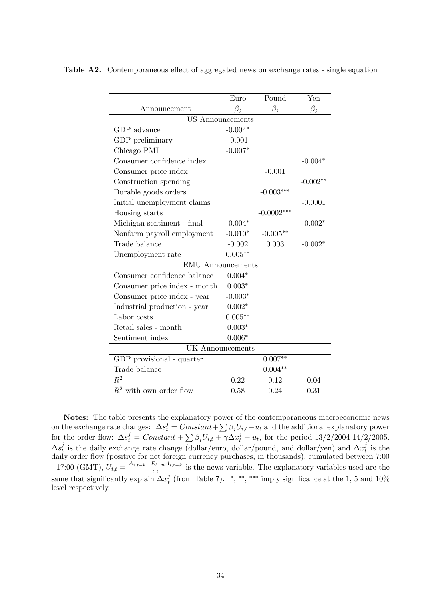|                              | Euro            | Pound        | Yen        |
|------------------------------|-----------------|--------------|------------|
| $\rm An noun cement$         | $\bar{\beta}_i$ | $\beta_i$    | $\beta_i$  |
| <b>US</b> Announcements      |                 |              |            |
| GDP advance                  | $-0.004*$       |              |            |
| GDP preliminary              | $-0.001$        |              |            |
| Chicago PMI                  | $-0.007*$       |              |            |
| Consumer confidence index    |                 |              | $-0.004*$  |
| Consumer price index         |                 | $-0.001$     |            |
| Construction spending        |                 |              | $-0.002**$ |
| Durable goods orders         |                 | $-0.003***$  |            |
| Initial unemployment claims  |                 |              | $-0.0001$  |
| Housing starts               |                 | $-0.0002***$ |            |
| Michigan sentiment - final   | $-0.004*$       |              | $-0.002*$  |
| Nonfarm payroll employment   | $-0.010*$       | $-0.005**$   |            |
| Trade balance                | $-0.002$        | 0.003        | $-0.002*$  |
| Unemployment rate            | $0.005**$       |              |            |
| <b>EMU</b> Announcements     |                 |              |            |
| Consumer confidence balance  | $0.004*$        |              |            |
| Consumer price index - month | $0.003*$        |              |            |
| Consumer price index - year  | $-0.003*$       |              |            |
| Industrial production - year | $0.002*$        |              |            |
| Labor costs                  | $0.005**$       |              |            |
| Retail sales - month         | $0.003*$        |              |            |
| Sentiment index              | $0.006*$        |              |            |
| UK Announcements             |                 |              |            |
| GDP provisional - quarter    |                 | $0.007**$    |            |
| Trade balance                |                 | $0.004**$    |            |
| $\overline{R^2}$             | 0.22            | 0.12         | 0.04       |
| $R^2$ with own order flow    | 0.58            | 0.24         | 0.31       |

Table A2. Contemporaneous effect of aggregated news on exchange rates - single equation

Notes: The table presents the explanatory power of the contemporaneous macroeconomic news on the exchange rate changes:  $\Delta s_t^j = Constant + \sum \beta_i U_{i,t} + u_t$  and the additional explanatory power for the order flow:  $\Delta s_t^j = Constant + \sum \beta_i U_{i,t} + \gamma \Delta x_t^j + u_t$ , for the period 13/2/2004-14/2/2005.  $\Delta s^j_t$  $t\overline{t}$  is the daily exchange rate change (dollar/euro, dollar/pound, and dollar/yen) and  $\Delta x_t^j$  $t$ <sup>*i*</sup> is the daily order flow (positive for net foreign currency purchases, in thousands), cumulated between 7:00 - 17:00 (GMT),  $U_{i,t} = \frac{A_{i,t-k}-E_{t-n}A_{i,t-k}}{\sigma_i}$  is the news variable. The explanatory variables used are the same that significantly explain  $\Delta x_t^j$  $_t^j$  (from Table 7). \*,\*\*,\*\*\*\* imply significance at the 1, 5 and 10% level respectively.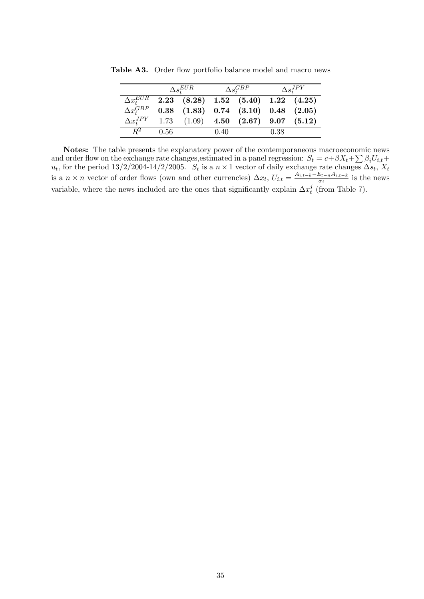|                         |      | $\Delta s_{t}^{EUR}$ |      | $\Delta s^{GBP}_*$                                     |      | $\Delta s^{JP\overline{Y}}_+$ |
|-------------------------|------|----------------------|------|--------------------------------------------------------|------|-------------------------------|
|                         |      |                      |      | $\Delta x_+^{EUR}$ 2.23 (8.28) 1.52 (5.40) 1.22 (4.25) |      |                               |
| $\Delta x_i^{GBP}$      |      |                      |      | $(1.83)$ $(0.74$ $(3.10)$ $0.48$ $(2.05)$              |      |                               |
| $\Delta x_t^{JPY}$ 1.73 |      |                      |      | $(1.09)$ 4.50 $(2.67)$ 9.07 $(5.12)$                   |      |                               |
| $R^2$                   | 0.56 |                      | 0.40 |                                                        | 0.38 |                               |

Table A3. Order flow portfolio balance model and macro news

Notes: The table presents the explanatory power of the contemporaneous macroeconomic news and order flow on the exchange rate changes, estimated in a panel regression:  $S_t = c + \beta X_t + \sum \beta_i U_{i,t} +$  $u_t$ , for the period 13/2/2004-14/2/2005.  $S_t$  is a  $n \times 1$  vector of daily exchange rate changes  $\Delta s_t$ ,  $X_t$ is a  $n \times n$  vector of order flows (own and other currencies)  $\Delta x_t$ ,  $U_{i,t} = \frac{A_{i,t-k}-E_{t-n}A_{i,t-k}}{\sigma_i}$  is the news variable, where the news included are the ones that significantly explain  $\Delta x_t^j$  $t \text{ (from Table 7)}.$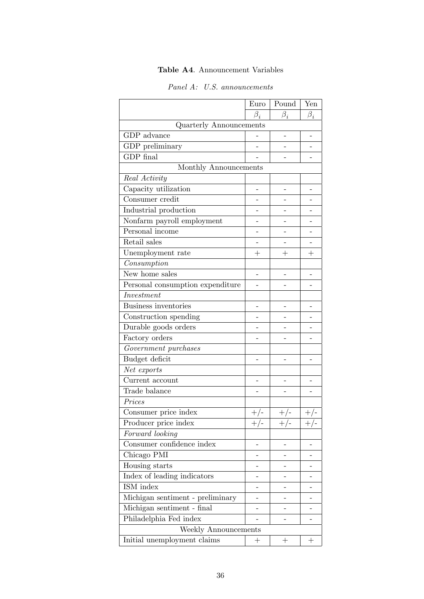## Table A4. Announcement Variables

| Panel A: U.S. announcements |  |
|-----------------------------|--|
|-----------------------------|--|

|                                  | Euro      | Pound     | Yen       |
|----------------------------------|-----------|-----------|-----------|
|                                  | $\beta_i$ | $\beta_i$ | $\beta_i$ |
| <b>Quarterly Announcements</b>   |           |           |           |
| GDP advance                      |           |           |           |
| GDP preliminary                  |           |           |           |
| GDP final                        |           |           |           |
| Monthly Announcements            |           |           |           |
| Real Activity                    |           |           |           |
| Capacity utilization             |           |           |           |
| Consumer credit                  |           |           |           |
| Industrial production            |           |           |           |
| Nonfarm payroll employment       |           |           |           |
| Personal income                  |           |           |           |
| Retail sales                     |           |           |           |
| Unemployment rate                | $^{+}$    | $\pm$     | $^{+}$    |
| Consumption                      |           |           |           |
| New home sales                   |           |           |           |
| Personal consumption expenditure |           |           |           |
| Investment                       |           |           |           |
| <b>Business inventories</b>      |           |           |           |
| Construction spending            |           |           |           |
| Durable goods orders             |           |           |           |
| Factory orders                   |           |           |           |
| Government purchases             |           |           |           |
| Budget deficit                   |           |           |           |
| Net exports                      |           |           |           |
| Current account                  |           |           |           |
| Trade balance                    |           |           |           |
| Prices                           |           |           |           |
| Consumer price index             | $+/-$     | $+/-$     | $+/-$     |
| Producer price index             | $+/-$     | $+/-$     | $+/-$     |
| Forward looking                  |           |           |           |
| Consumer confidence index        |           |           |           |
| Chicago PMI                      |           |           |           |
| Housing starts                   |           |           |           |
| Index of leading indicators      |           |           |           |
| ISM index                        |           |           |           |
| Michigan sentiment - preliminary |           |           |           |
| Michigan sentiment - final       |           |           |           |
| Philadelphia Fed index           |           |           |           |
| Weekly Announcements             |           |           |           |
| Initial unemployment claims      | $^+$      | $^+$      | $^+$      |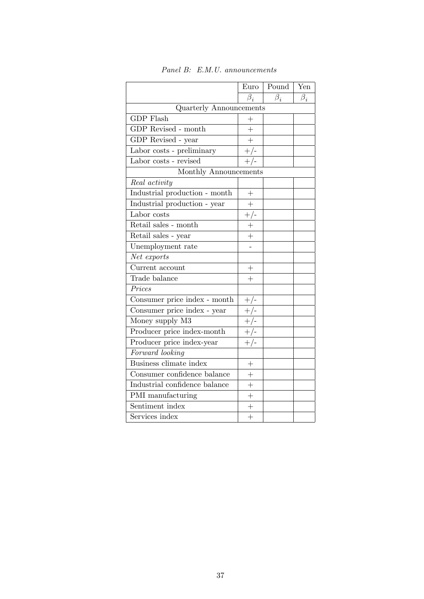|                                         | Euro           | Pound     | Yen       |
|-----------------------------------------|----------------|-----------|-----------|
|                                         | $\beta_i$      | $\beta_i$ | $\beta_i$ |
| <b>Quarterly Announcements</b>          |                |           |           |
| <b>GDP</b> Flash                        | $^{+}$         |           |           |
| $\overline{\text{GDP}}$ Revised - month | $\overline{+}$ |           |           |
| GDP Revised - year                      | $\ddot{}$      |           |           |
| Labor costs - preliminary               | $+/-$          |           |           |
| Labor costs - revised                   | $+/-$          |           |           |
| Monthly Announcements                   |                |           |           |
| Real activity                           |                |           |           |
| Industrial production - month           | $\! + \!$      |           |           |
| Industrial production - year            | $\ddot{}$      |           |           |
| Labor costs                             | $+/-$          |           |           |
| Retail sales - month                    | $^{+}$         |           |           |
| $\operatorname{Retail}$ sales - year    | $\ddot{}$      |           |           |
| Unemployment rate                       |                |           |           |
| Net exports                             |                |           |           |
| Current account                         | $^{+}$         |           |           |
| Trade balance                           | $\overline{+}$ |           |           |
| Prices                                  |                |           |           |
| Consumer price index - month            | $+/-$          |           |           |
| Consumer price index - year             | $+/-$          |           |           |
| Money supply M3                         | $+\sqrt{-}$    |           |           |
| Producer price index-month              | $+/-$          |           |           |
| Producer price index-year               | $+/-$          |           |           |
| Forward looking                         |                |           |           |
| Business climate index                  | $^{+}$         |           |           |
| Consumer confidence balance             | $\overline{+}$ |           |           |
| Industrial confidence balance           | $\ddot{}$      |           |           |
| PMI manufacturing                       | $+$            |           |           |
| Sentiment index                         | $^{+}$         |           |           |
| Services index                          | $\ddot{}$      |           |           |

Panel B: E.M.U. announcements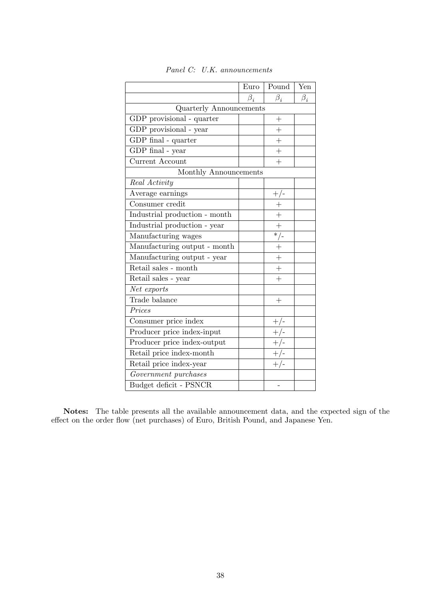|                                | Euro      | Pound          | Yen       |
|--------------------------------|-----------|----------------|-----------|
|                                | $\beta_i$ | $\beta_i$      | $\beta_i$ |
| <b>Quarterly Announcements</b> |           |                |           |
| GDP provisional - quarter      |           | $^{+}$         |           |
| GDP provisional - year         |           | $^{+}$         |           |
| GDP final - quarter            |           | $\ddot{}$      |           |
| $\overline{G}DP$ final - year  |           | $^{+}$         |           |
| Current Account                |           | $\overline{+}$ |           |
| Monthly Announcements          |           |                |           |
| Real Activity                  |           |                |           |
| Average earnings               |           | $+/-$          |           |
| Consumer credit                |           | $\overline{+}$ |           |
| Industrial production - month  |           | $^{+}$         |           |
| Industrial production - year   |           | $\ddot{}$      |           |
| Manufacturing wages            |           | $*$ /-         |           |
| Manufacturing output - month   |           | $+$            |           |
| Manufacturing output - year    |           | $\overline{+}$ |           |
| Retail sales - month           |           | $^{+}$         |           |
| Retail sales - $\mathit{year}$ |           | $^{-}_{+}$     |           |
| Net exports                    |           |                |           |
| Trade balance                  |           | $^{+}$         |           |
| Prices                         |           |                |           |
| Consumer price index           |           | $+/-$          |           |
| Producer price index-input     |           | $+/-$          |           |
| Producer price index-output    |           | $+/-$          |           |
| Retail price index-month       |           | $+/-$          |           |
| Retail price index-year        |           |                |           |
| Government purchases           |           |                |           |
| Budget deficit - PSNCR         |           |                |           |

|  | Panel C: U.K. announcements |
|--|-----------------------------|
|--|-----------------------------|

Notes: The table presents all the available announcement data, and the expected sign of the effect on the order flow (net purchases) of Euro, British Pound, and Japanese Yen.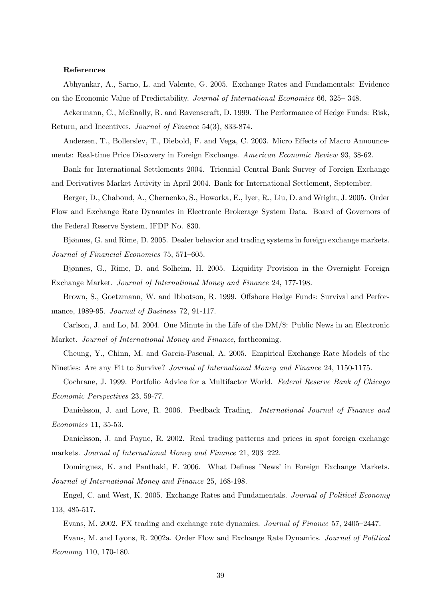#### References

Abhyankar, A., Sarno, L. and Valente, G. 2005. Exchange Rates and Fundamentals: Evidence on the Economic Value of Predictability. Journal of International Economics 66, 325 – 348.

Ackermann, C., McEnally, R. and Ravenscraft, D. 1999. The Performance of Hedge Funds: Risk, Return, and Incentives. Journal of Finance 54(3), 833-874.

Andersen, T., Bollerslev, T., Diebold, F. and Vega, C. 2003. Micro Effects of Macro Announcements: Real-time Price Discovery in Foreign Exchange. American Economic Review 93, 38-62.

Bank for International Settlements 2004. Triennial Central Bank Survey of Foreign Exchange and Derivatives Market Activity in April 2004. Bank for International Settlement, September.

Berger, D., Chaboud, A., Chernenko, S., Howorka, E., Iyer, R., Liu, D. and Wright, J. 2005. Order Flow and Exchange Rate Dynamics in Electronic Brokerage System Data. Board of Governors of the Federal Reserve System, IFDP No. 830.

Bjønnes, G. and Rime, D. 2005. Dealer behavior and trading systems in foreign exchange markets. Journal of Financial Economics 75, 571–605.

Bjønnes, G., Rime, D. and Solheim, H. 2005. Liquidity Provision in the Overnight Foreign Exchange Market. Journal of International Money and Finance 24, 177-198.

Brown, S., Goetzmann, W. and Ibbotson, R. 1999. Offshore Hedge Funds: Survival and Performance, 1989-95. Journal of Business 72, 91-117.

Carlson, J. and Lo, M. 2004. One Minute in the Life of the DM/\$: Public News in an Electronic Market. Journal of International Money and Finance, forthcoming.

Cheung, Y., Chinn, M. and Garcia-Pascual, A. 2005. Empirical Exchange Rate Models of the Nineties: Are any Fit to Survive? Journal of International Money and Finance 24, 1150-1175.

Cochrane, J. 1999. Portfolio Advice for a Multifactor World. Federal Reserve Bank of Chicago Economic Perspectives 23, 59-77.

Danielsson, J. and Love, R. 2006. Feedback Trading. *International Journal of Finance and* Economics 11, 35-53.

Danielsson, J. and Payne, R. 2002. Real trading patterns and prices in spot foreign exchange markets. Journal of International Money and Finance 21, 203–222.

Dominguez, K. and Panthaki, F. 2006. What Defines 'News' in Foreign Exchange Markets. Journal of International Money and Finance 25, 168-198.

Engel, C. and West, K. 2005. Exchange Rates and Fundamentals. Journal of Political Economy 113, 485-517.

Evans, M. 2002. FX trading and exchange rate dynamics. *Journal of Finance* 57, 2405–2447.

Evans, M. and Lyons, R. 2002a. Order Flow and Exchange Rate Dynamics. Journal of Political Economy 110, 170-180.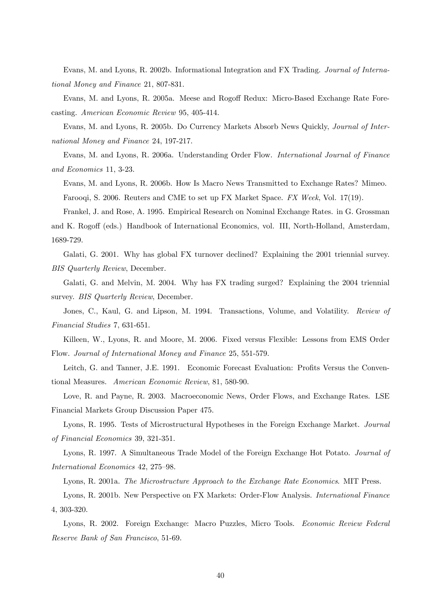Evans, M. and Lyons, R. 2002b. Informational Integration and FX Trading. Journal of International Money and Finance 21, 807-831.

Evans, M. and Lyons, R. 2005a. Meese and Rogoff Redux: Micro-Based Exchange Rate Forecasting. American Economic Review 95, 405-414.

Evans, M. and Lyons, R. 2005b. Do Currency Markets Absorb News Quickly, Journal of International Money and Finance 24, 197-217.

Evans, M. and Lyons, R. 2006a. Understanding Order Flow. International Journal of Finance and Economics 11, 3-23.

Evans, M. and Lyons, R. 2006b. How Is Macro News Transmitted to Exchange Rates? Mimeo. Farooqi, S. 2006. Reuters and CME to set up FX Market Space. FX Week, Vol. 17(19).

Frankel, J. and Rose, A. 1995. Empirical Research on Nominal Exchange Rates. in G. Grossman and K. Rogoff (eds.) Handbook of International Economics, vol. III, North-Holland, Amsterdam, 1689-729.

Galati, G. 2001. Why has global FX turnover declined? Explaining the 2001 triennial survey. BIS Quarterly Review, December.

Galati, G. and Melvin, M. 2004. Why has FX trading surged? Explaining the 2004 triennial survey. *BIS Quarterly Review*, December.

Jones, C., Kaul, G. and Lipson, M. 1994. Transactions, Volume, and Volatility. Review of Financial Studies 7, 631-651.

Killeen, W., Lyons, R. and Moore, M. 2006. Fixed versus Flexible: Lessons from EMS Order Flow. Journal of International Money and Finance 25, 551-579.

Leitch, G. and Tanner, J.E. 1991. Economic Forecast Evaluation: Profits Versus the Conventional Measures. American Economic Review, 81, 580-90.

Love, R. and Payne, R. 2003. Macroeconomic News, Order Flows, and Exchange Rates. LSE Financial Markets Group Discussion Paper 475.

Lyons, R. 1995. Tests of Microstructural Hypotheses in the Foreign Exchange Market. Journal of Financial Economics 39, 321-351.

Lyons, R. 1997. A Simultaneous Trade Model of the Foreign Exchange Hot Potato. Journal of International Economics 42, 275-98.

Lyons, R. 2001a. The Microstructure Approach to the Exchange Rate Economics. MIT Press.

Lyons, R. 2001b. New Perspective on FX Markets: Order-Flow Analysis. International Finance 4, 303-320.

Lyons, R. 2002. Foreign Exchange: Macro Puzzles, Micro Tools. Economic Review Federal Reserve Bank of San Francisco, 51-69.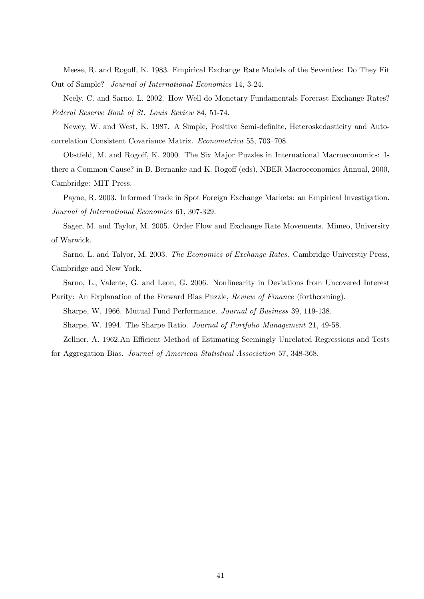Meese, R. and Rogoff, K. 1983. Empirical Exchange Rate Models of the Seventies: Do They Fit Out of Sample? Journal of International Economics 14, 3-24.

Neely, C. and Sarno, L. 2002. How Well do Monetary Fundamentals Forecast Exchange Rates? Federal Reserve Bank of St. Louis Review 84, 51-74.

Newey, W. and West, K. 1987. A Simple, Positive Semi-definite, Heteroskedasticity and Autocorrelation Consistent Covariance Matrix. Econometrica 55, 703-708.

Obstfeld, M. and Rogoff, K. 2000. The Six Major Puzzles in International Macroeconomics: Is there a Common Cause? in B. Bernanke and K. Rogoff (eds), NBER Macroeconomics Annual, 2000, Cambridge: MIT Press.

Payne, R. 2003. Informed Trade in Spot Foreign Exchange Markets: an Empirical Investigation. Journal of International Economics 61, 307-329.

Sager, M. and Taylor, M. 2005. Order Flow and Exchange Rate Movements. Mimeo, University of Warwick.

Sarno, L. and Talyor, M. 2003. The Economics of Exchange Rates. Cambridge Universtiy Press, Cambridge and New York.

Sarno, L., Valente, G. and Leon, G. 2006. Nonlinearity in Deviations from Uncovered Interest Parity: An Explanation of the Forward Bias Puzzle, Review of Finance (forthcoming).

Sharpe, W. 1966. Mutual Fund Performance. Journal of Business 39, 119-138.

Sharpe, W. 1994. The Sharpe Ratio. Journal of Portfolio Management 21, 49-58.

Zellner, A. 1962.An Efficient Method of Estimating Seemingly Unrelated Regressions and Tests for Aggregation Bias. Journal of American Statistical Association 57, 348-368.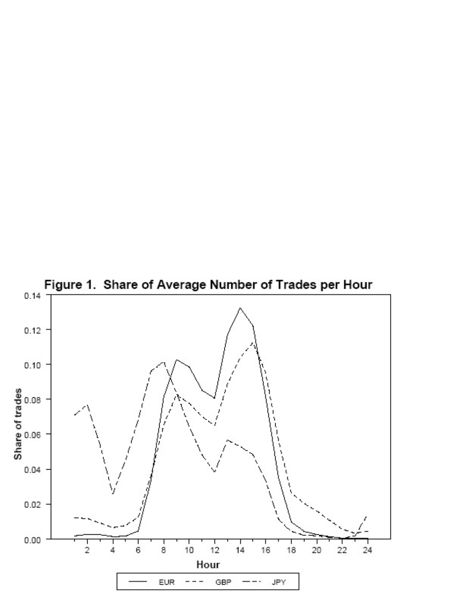